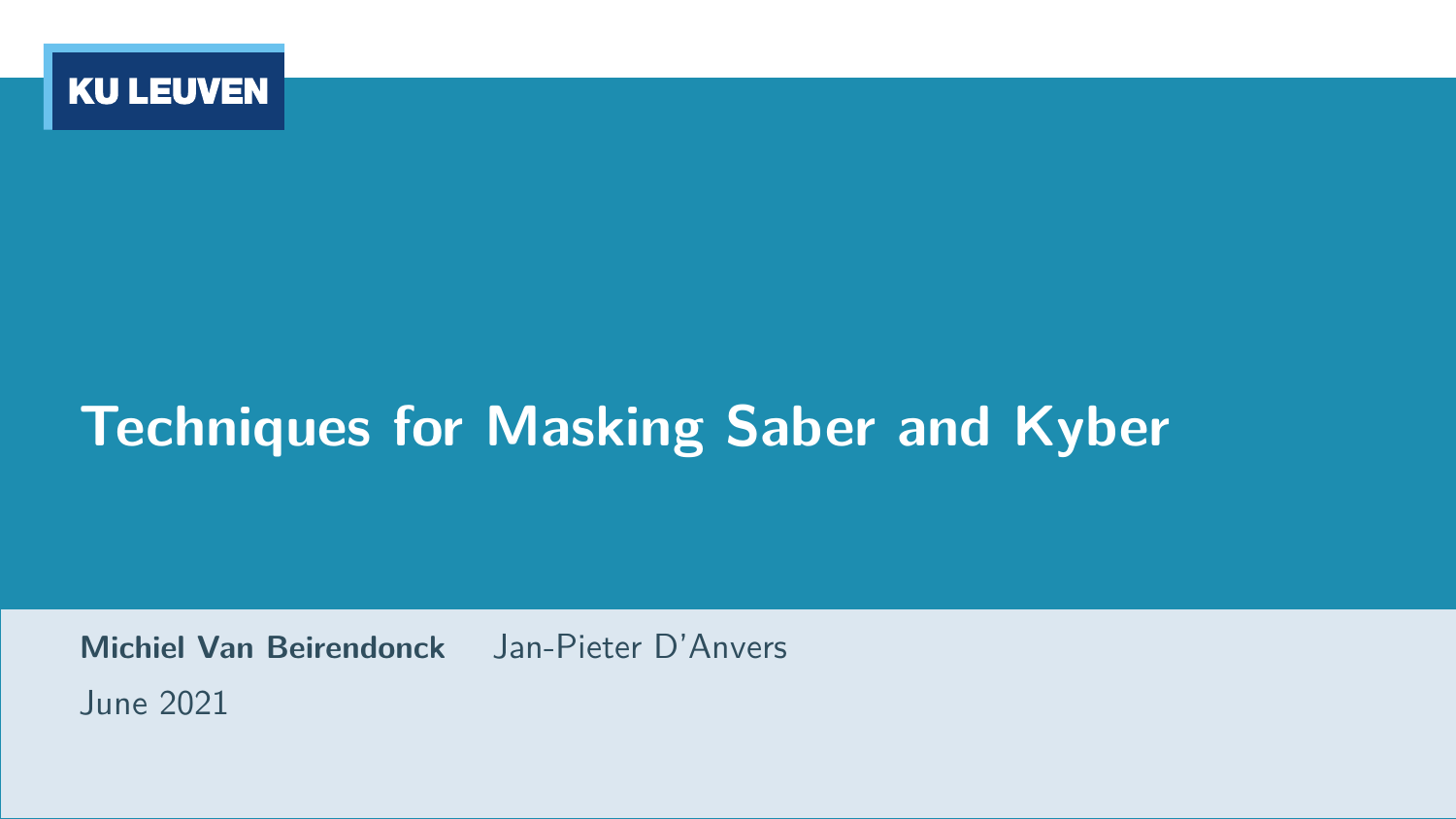

# **Techniques for Masking Saber and Kyber**

**Michiel Van Beirendonck** Jan-Pieter D'Anvers June 2021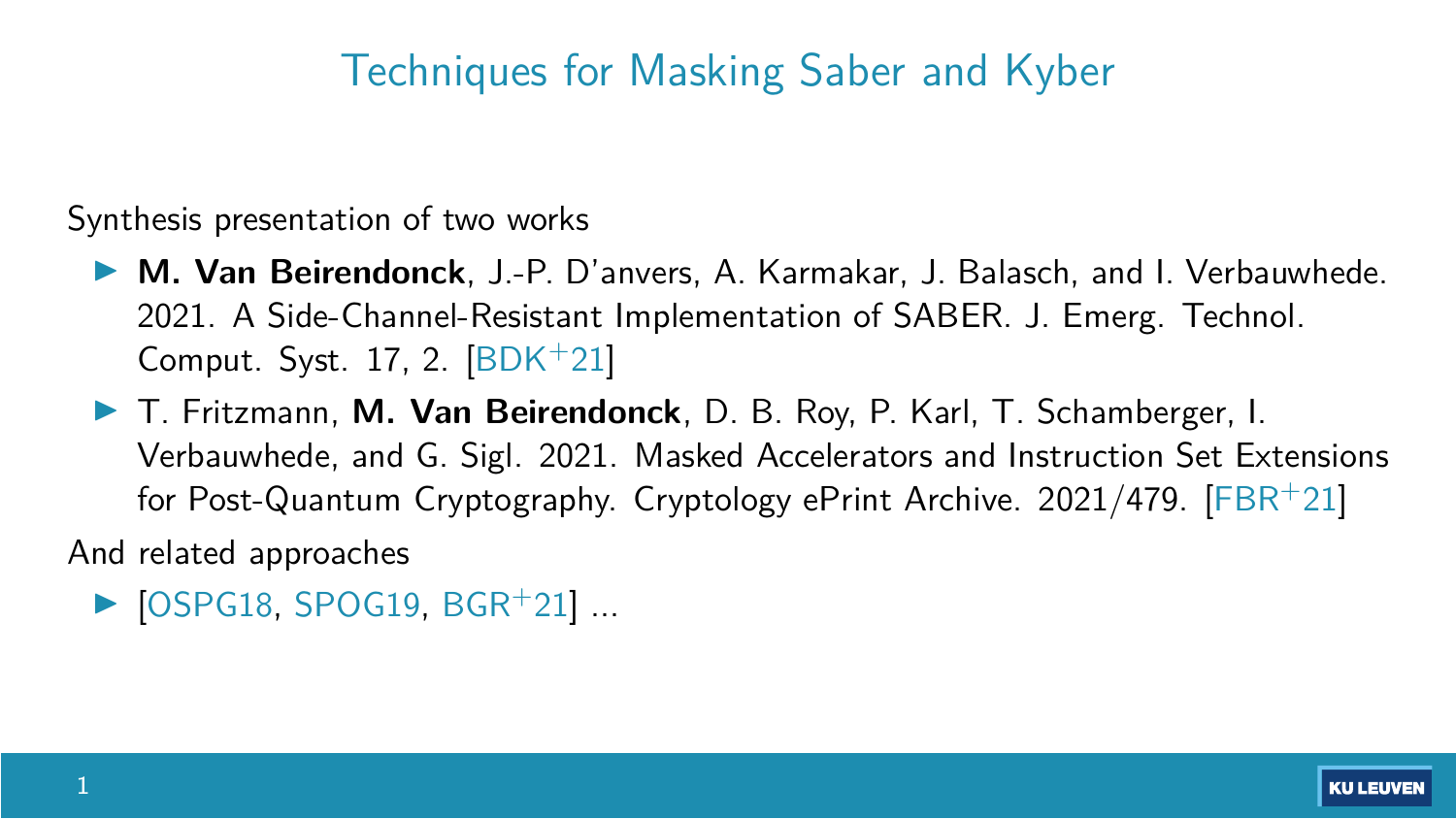### Techniques for Masking Saber and Kyber

Synthesis presentation of two works

- ▶ **M. Van Beirendonck**, J.-P. D'anvers, A. Karmakar, J. Balasch, and I. Verbauwhede. 2021. A Side-Channel-Resistant Implementation of SABER. J. Emerg. Technol. Comput. Syst. 17, 2. [\[BDK](#page-34-0)+21]
- **F. Fritzmann, M. Van Beirendonck, D. B. Roy, P. Karl, T. Schamberger, I.** Verbauwhede, and G. Sigl. 2021. Masked Accelerators and Instruction Set Extensions for Post-Quantum Cryptography. Cryptology ePrint Archive. 2021/479. [\[FBR](#page-36-0)+21]

And related approaches

 $\triangleright$  [\[OSPG18,](#page-36-1) [SPOG19,](#page-36-2) [BGR](#page-35-0)+21] ...

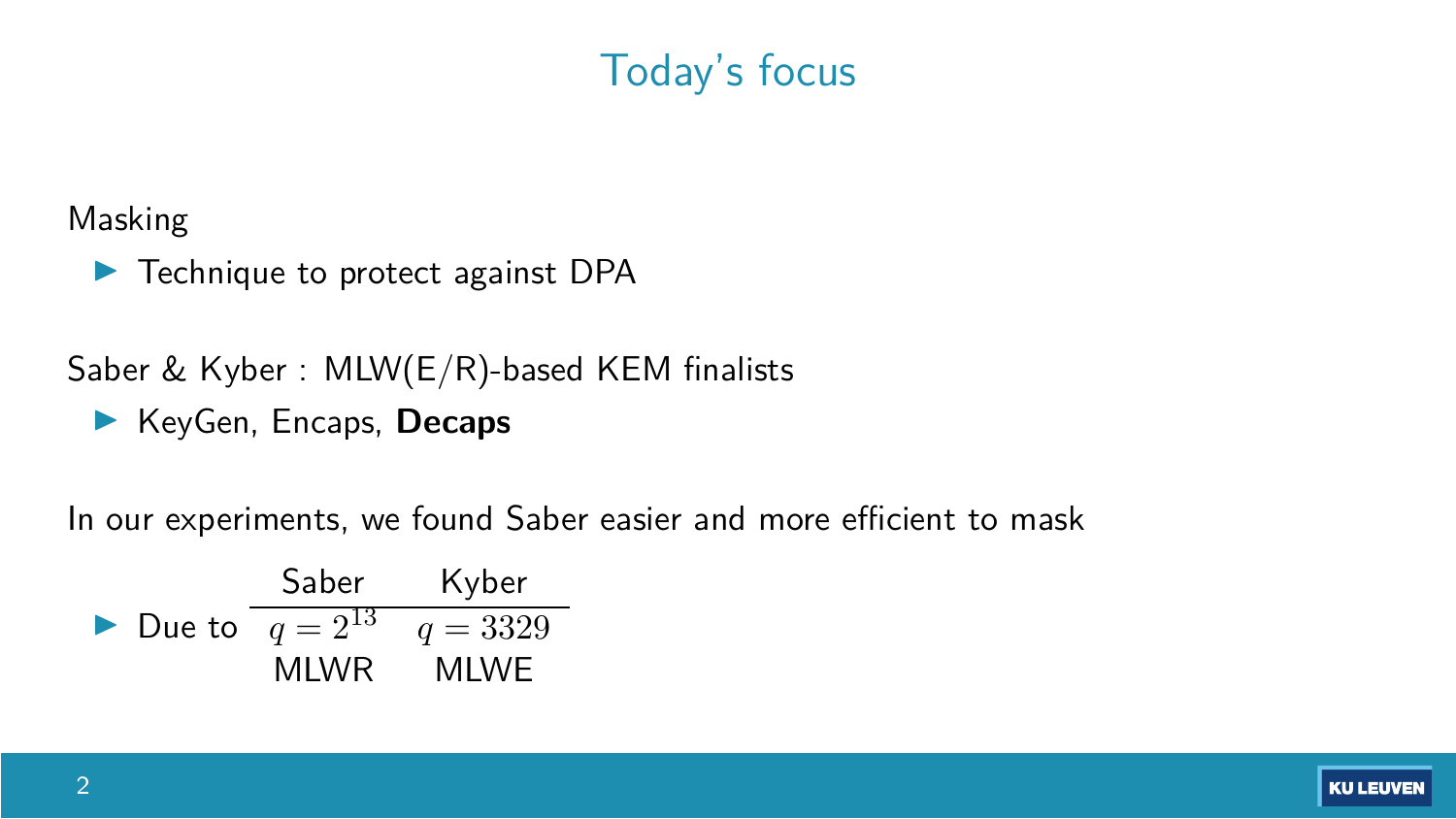### Today's focus

Masking

 $\blacktriangleright$  Technique to protect against DPA

Saber & Kyber : MLW(E/R)-based KEM finalists

I KeyGen, Encaps, **Decaps** 

In our experiments, we found Saber easier and more efficient to mask

► Due to 
$$
\frac{\text{Saber} \qquad \text{Kyber}}{q = 2^{13} \qquad q = 3329}
$$
   
MLWR \tMLWE

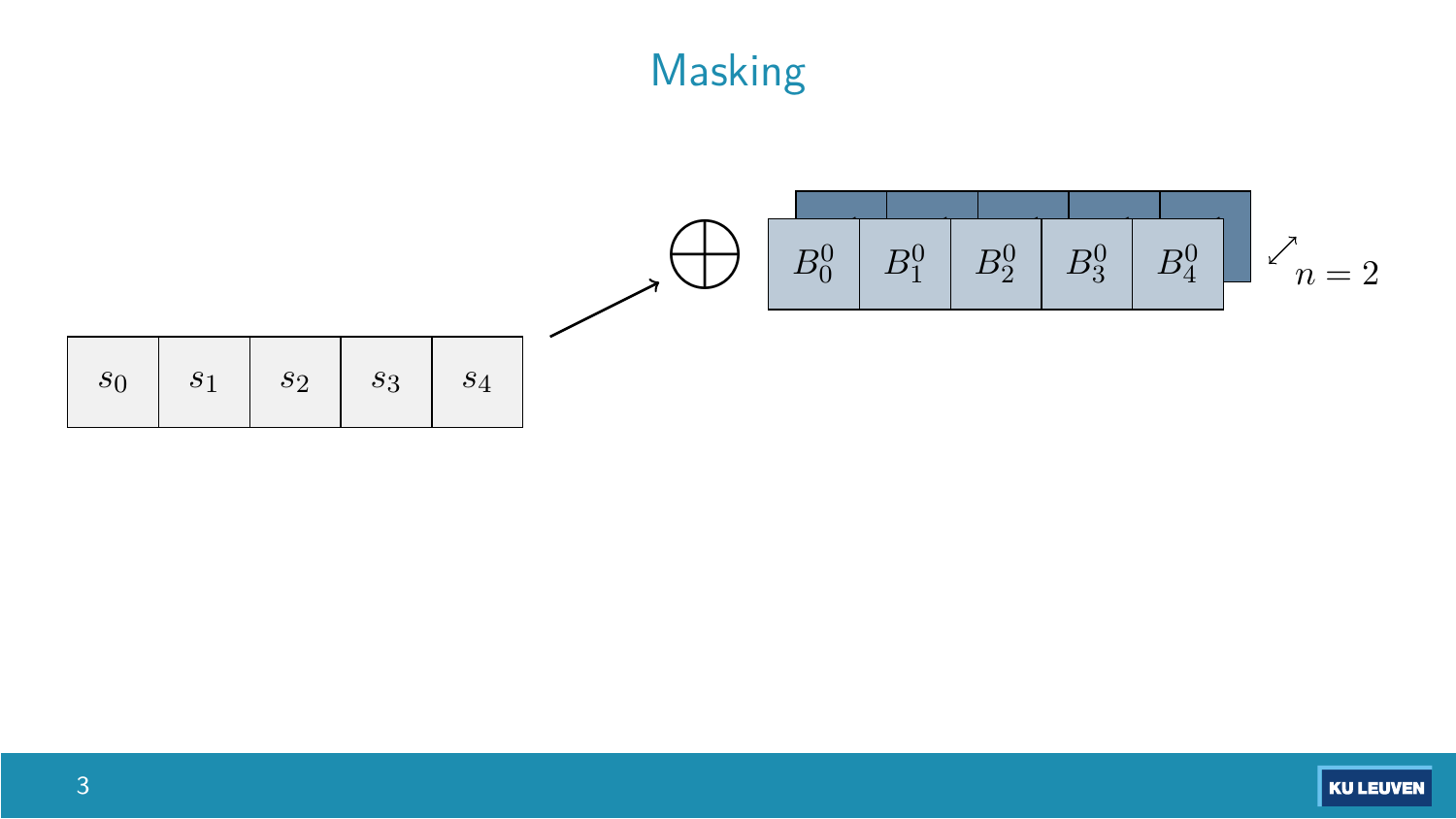# Masking

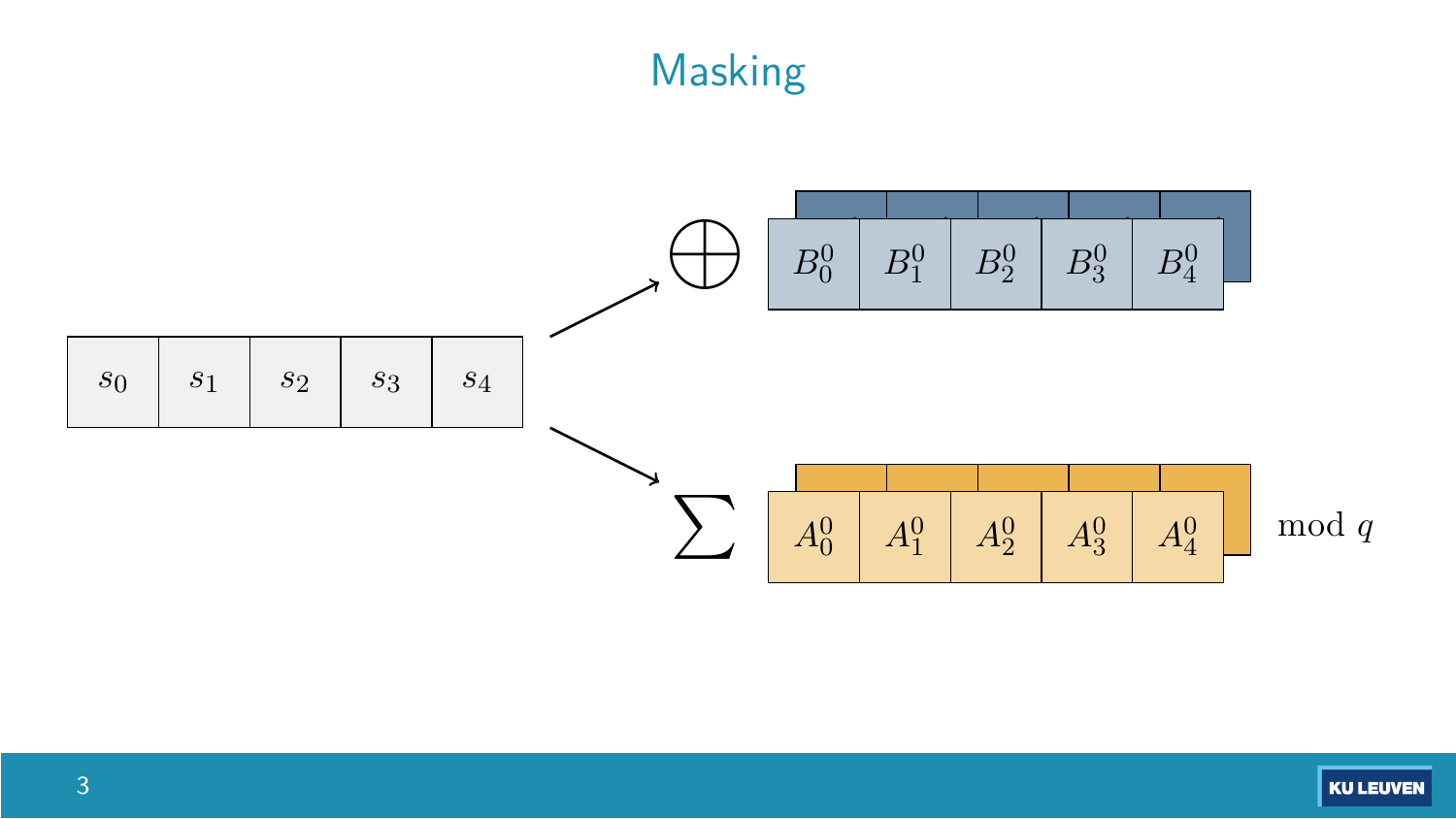# Masking



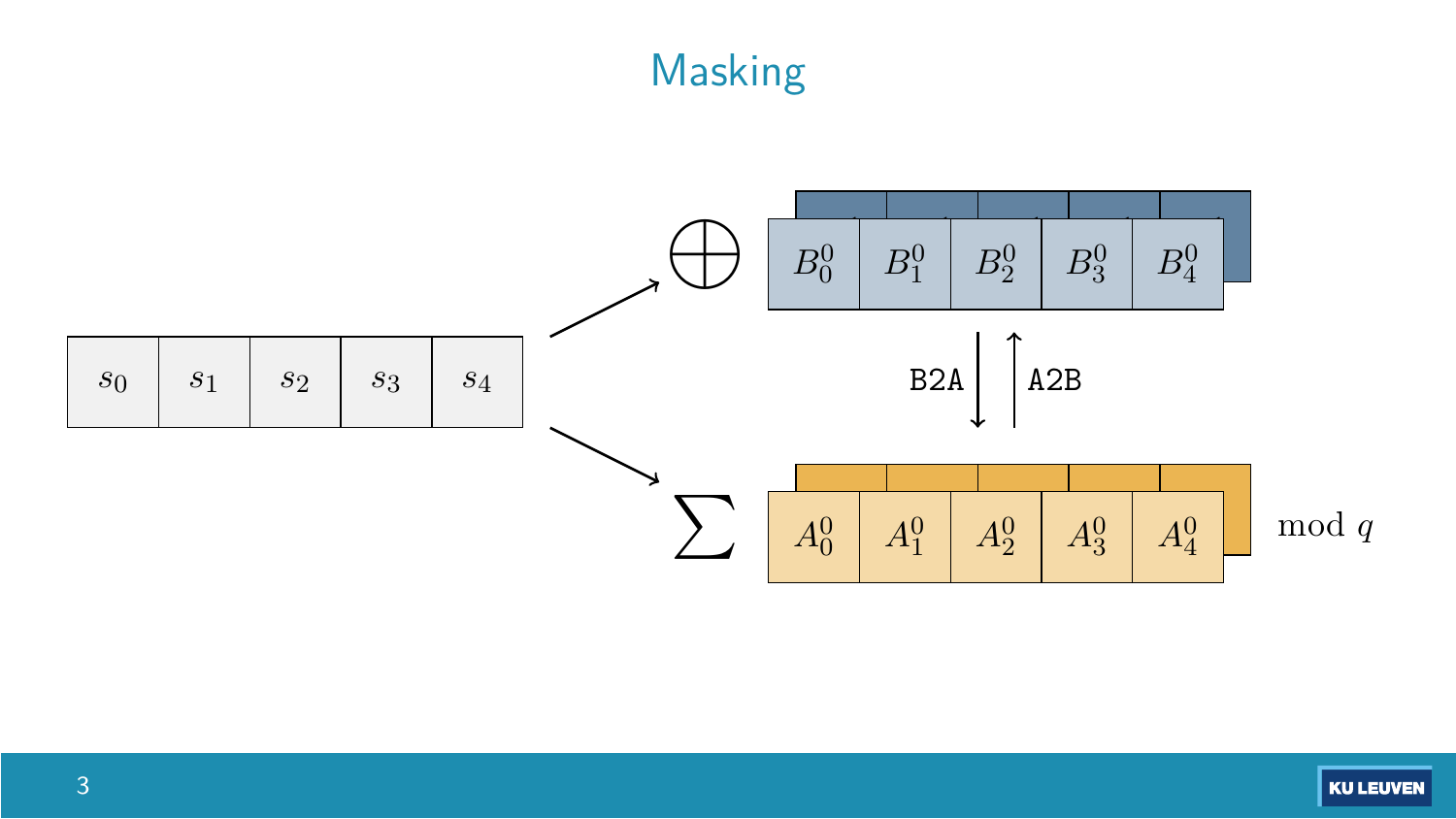# Masking



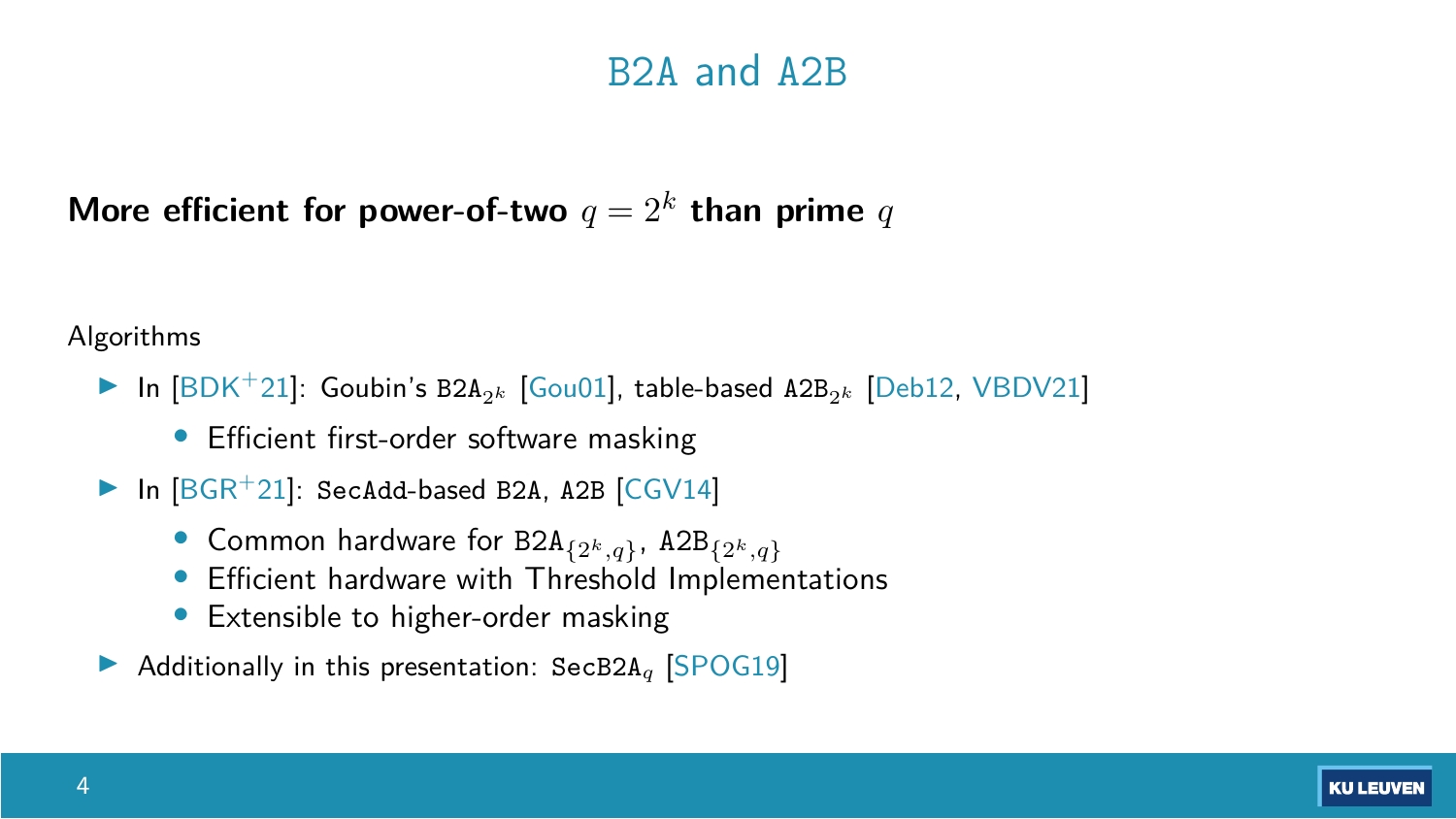#### B2A and A2B

More efficient for power-of-two  $q = 2^k$  than prime *q* 

Algorithms

- **In** [\[BDK](#page-34-0)<sup>+</sup>21]: Goubin's B2A<sub>2</sub><sup>k</sup> [\[Gou01\]](#page-36-3), table-based A2B<sub>2</sub><sup>k</sup> [\[Deb12,](#page-35-1) [VBDV21\]](#page-37-0)
	- Efficient first-order software masking
- In  $[BGR^+21]$  $[BGR^+21]$ : SecAdd-based B2A, A2B  $[CGV14]$ 
	- Common hardware for B2A{2*k,q*}, A2B{2*k,q*}
	- Efficient hardware with Threshold Implementations
	- Extensible to higher-order masking
- ▶ Additionally in this presentation: SecB2A<sub>q</sub> [\[SPOG19\]](#page-36-2)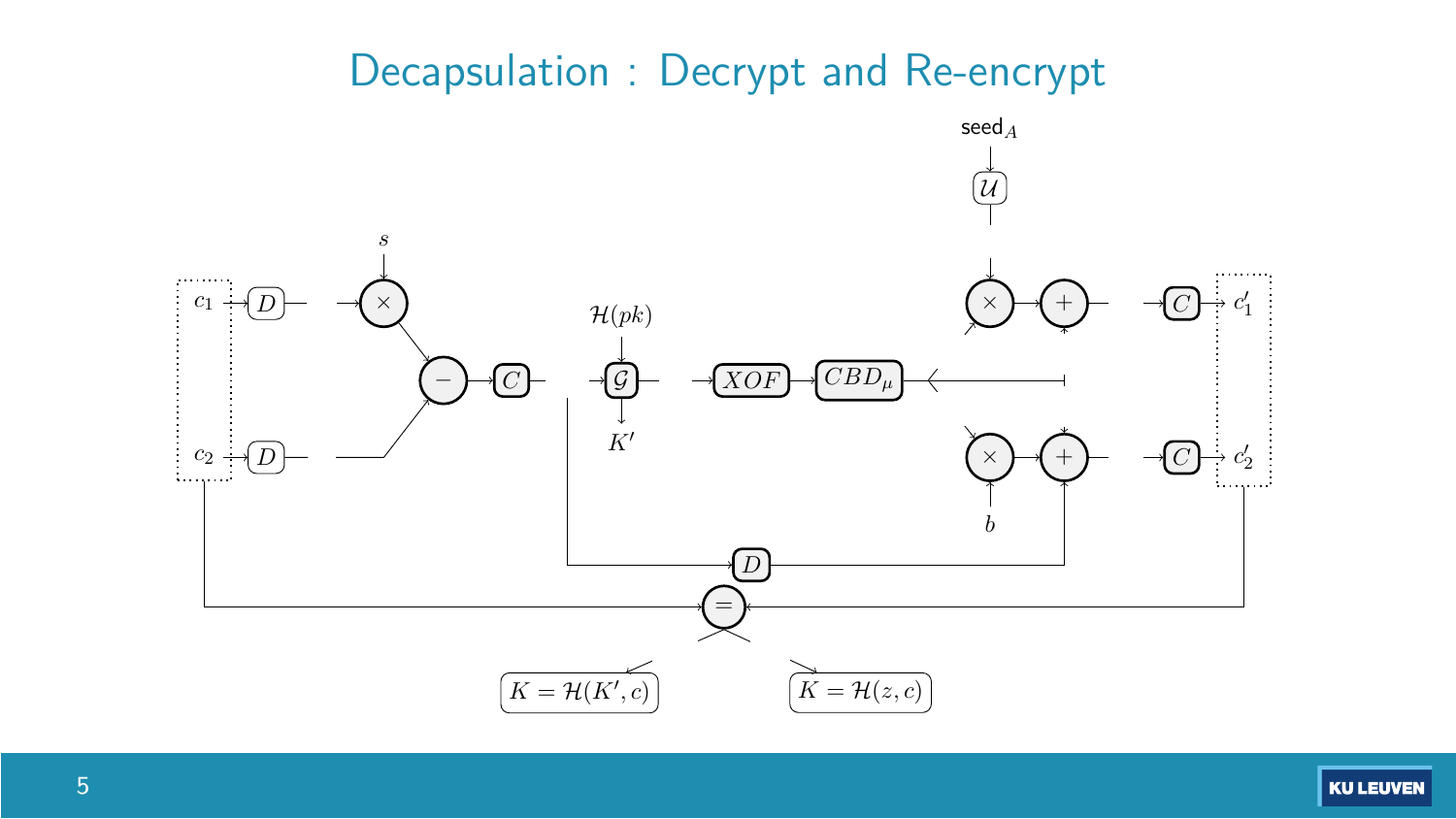#### Decapsulation : Decrypt and Re-encrypt

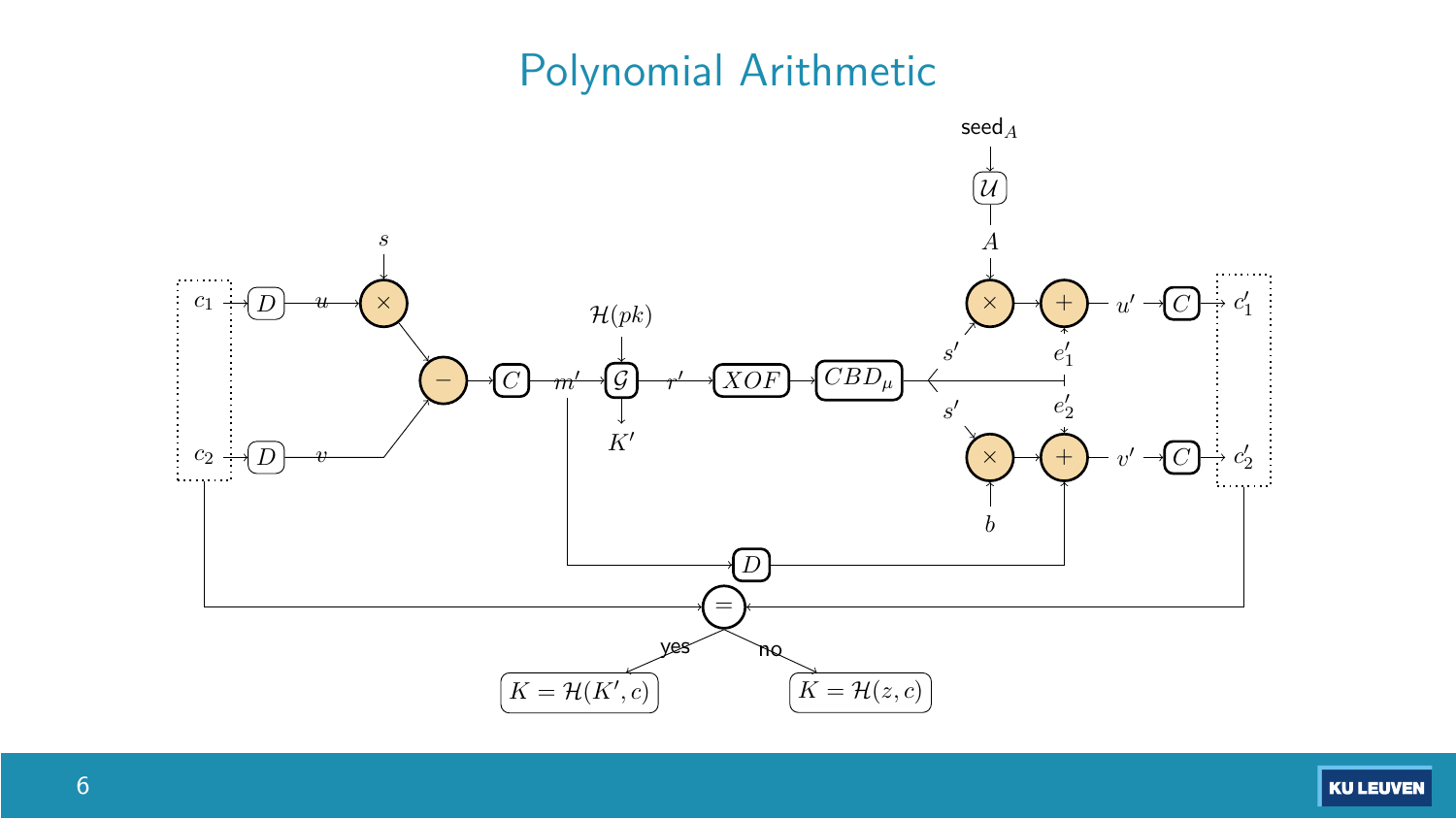### Polynomial Arithmetic



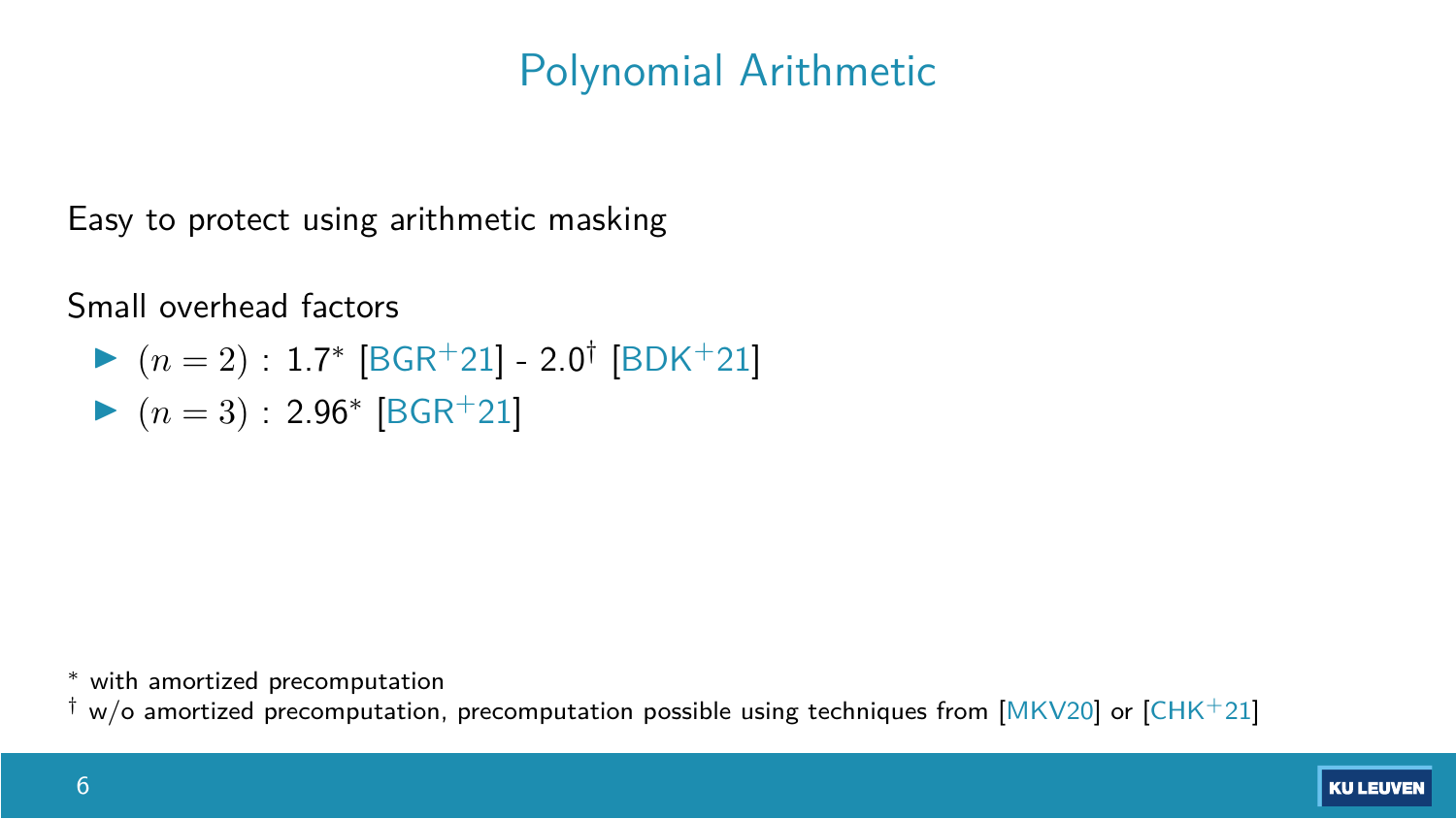### Polynomial Arithmetic

Easy to protect using arithmetic masking

Small overhead factors

 $(n = 2)$ : 1.7<sup>\*</sup> [\[BGR](#page-35-0)<sup>+</sup>21] - 2.0<sup>†</sup> [\[BDK](#page-34-0)<sup>+</sup>21]  $(n = 3)$ : 2.96<sup>\*</sup> [\[BGR](#page-35-0)<sup>+</sup>21]

with amortized precomputation

 $w$ /o amortized precomputation, precomputation possible using techniques from  $[MKV20]$  or  $[CHK+21]$  $[CHK+21]$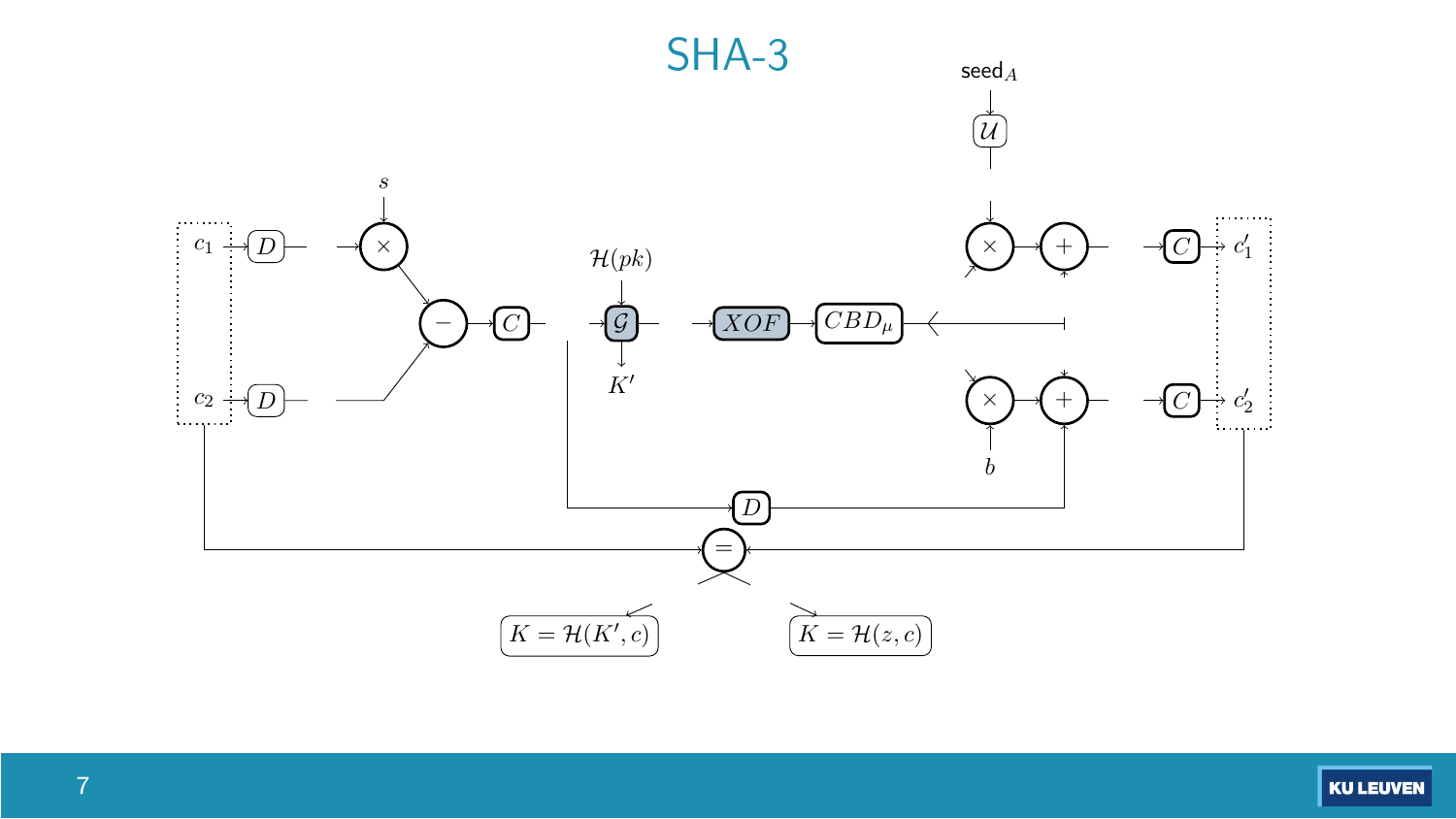

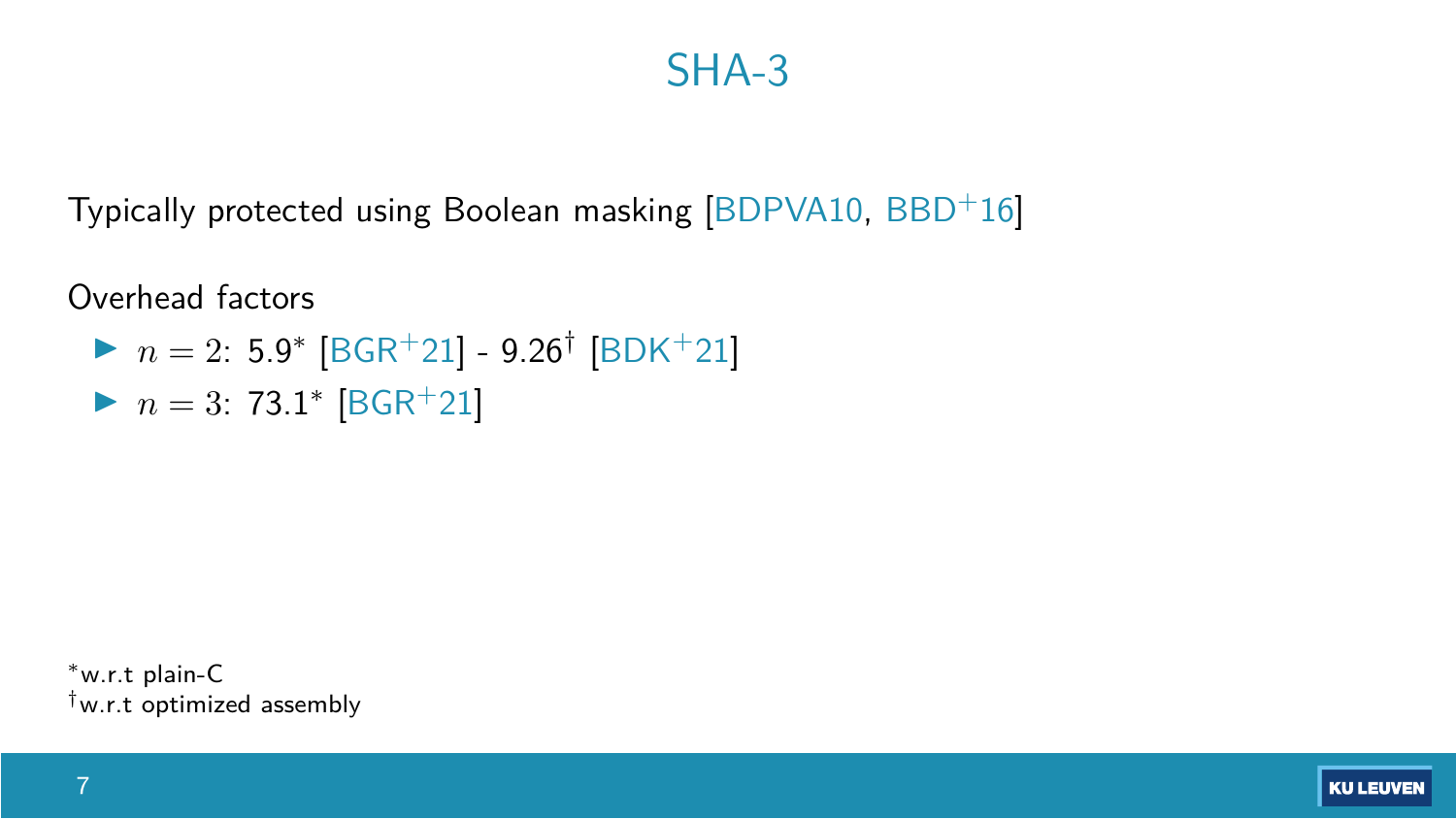### SHA-3

Typically protected using Boolean masking [\[BDPVA10,](#page-34-1) [BBD](#page-34-2)<sup>+</sup>16]

Overhead factors

- $\triangleright$   $n = 2$ : 5.9<sup>\*</sup> [\[BGR](#page-35-0)<sup>+</sup>21] 9.26<sup>†</sup> [\[BDK](#page-34-0)<sup>+</sup>21]
- $\triangleright$  *n* = 3: 73.1\* [\[BGR](#page-35-0)<sup>+</sup>21]

w.r.t plain-C †w.r.t optimized assembly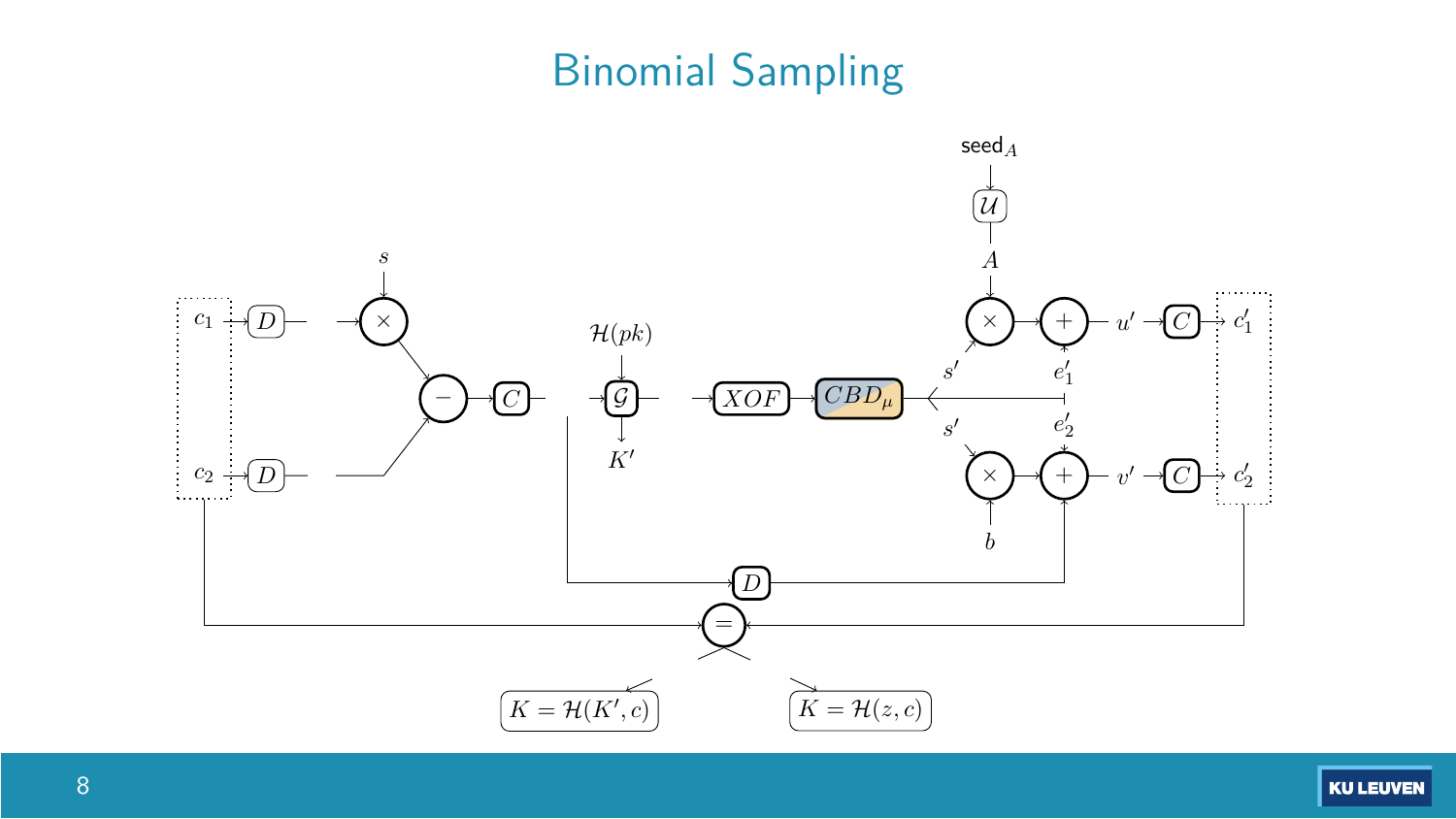### Binomial Sampling



**KU LEUVEN**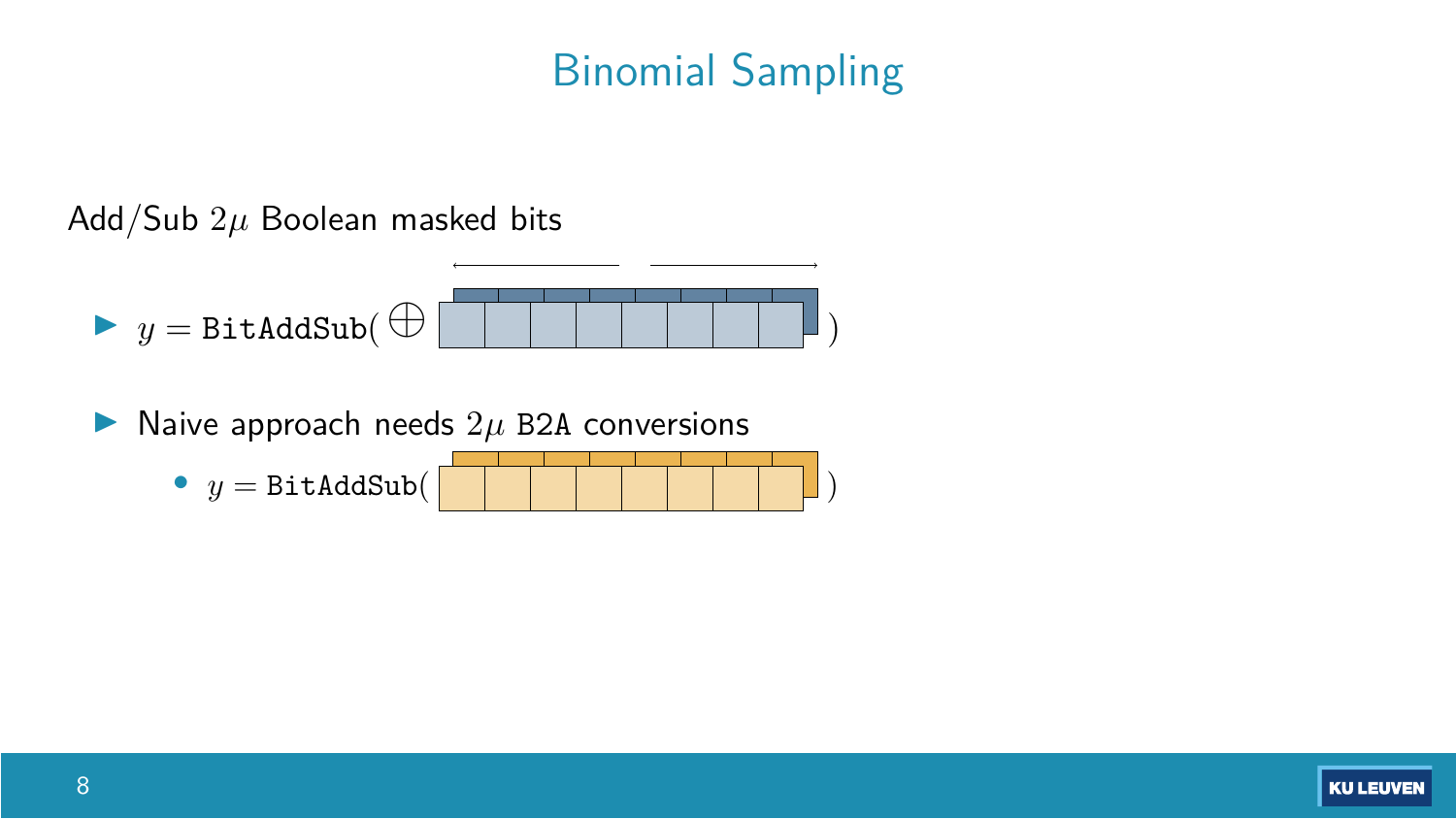### Binomial Sampling

Add/Sub 2*µ* Boolean masked bits



 $\blacktriangleright$  Naive approach needs  $2\mu$  B2A conversions

•  $y = \text{BitAddSub}($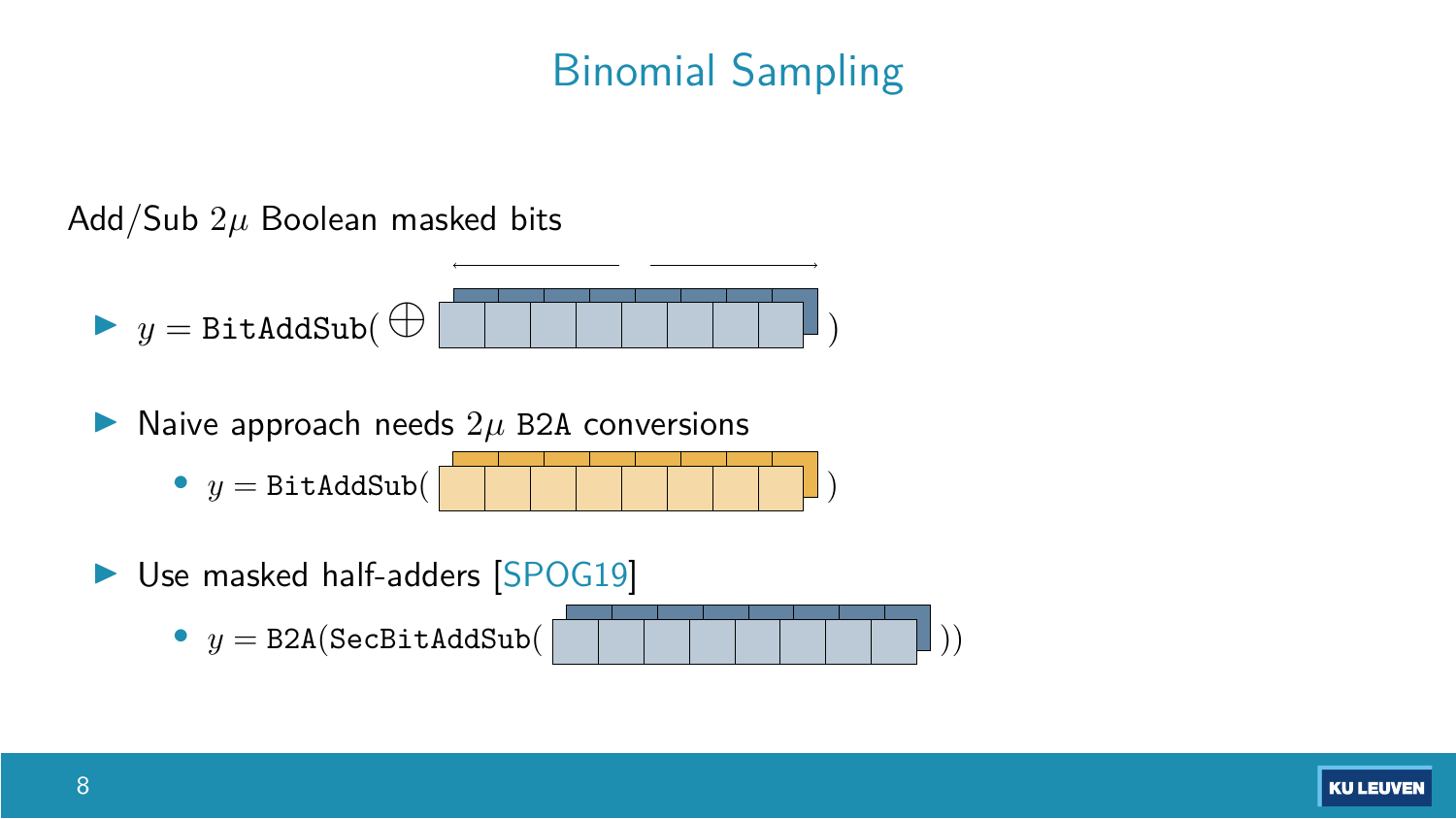### Binomial Sampling

Add/Sub 2*µ* Boolean masked bits



 $\blacktriangleright$  Naive approach needs  $2\mu$  B2A conversions

•  $y = \text{BitAddSub}$ 

▶ Use masked half-adders [\[SPOG19\]](#page-36-2)

$$
y = \text{B2A}(\text{SecBitAddSub}(\boxed{\text{}[\_ ] ] \text{ [ } \text{[ } \text{[ ] ]})})
$$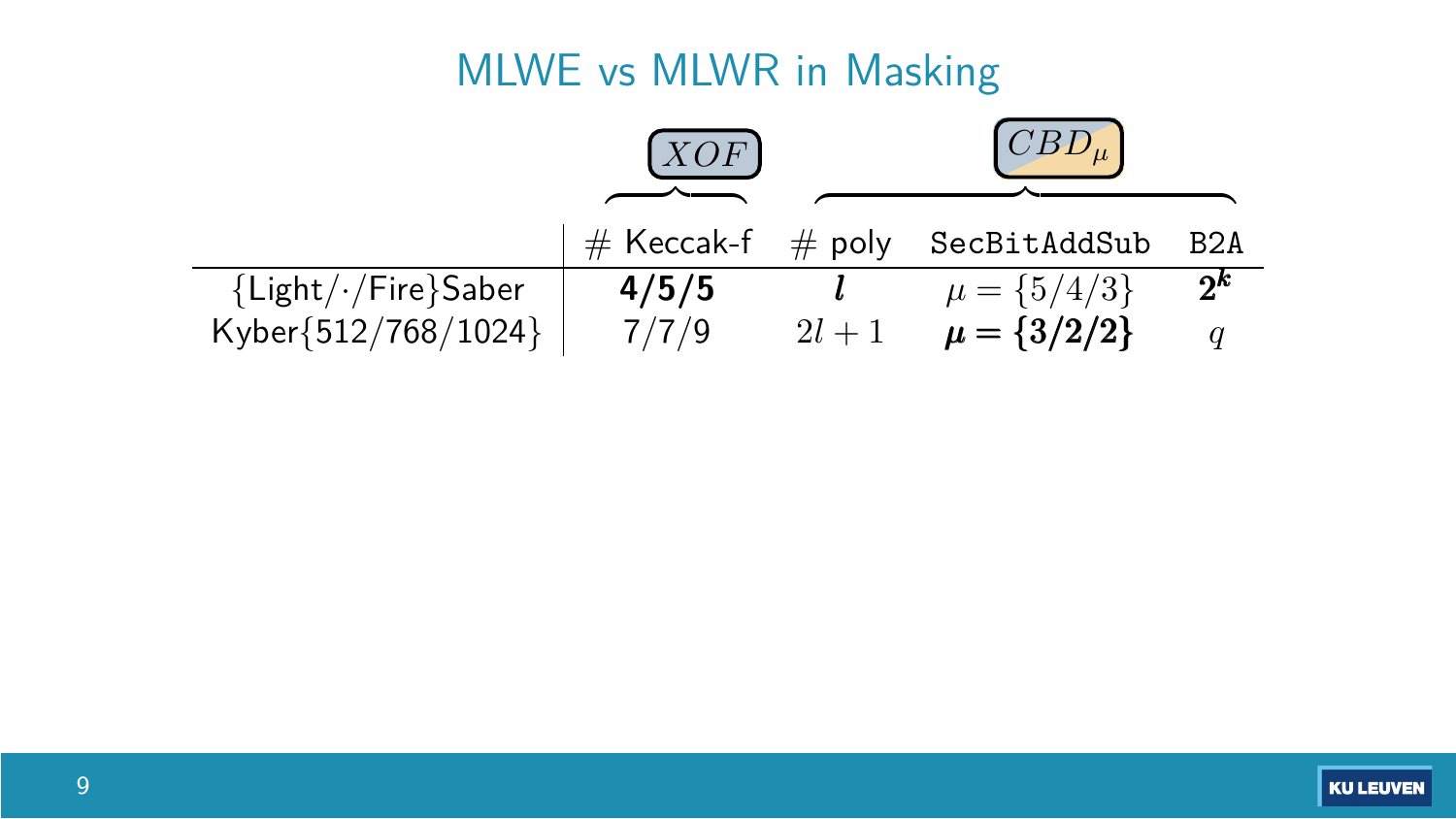### MLWE vs MLWR in Masking

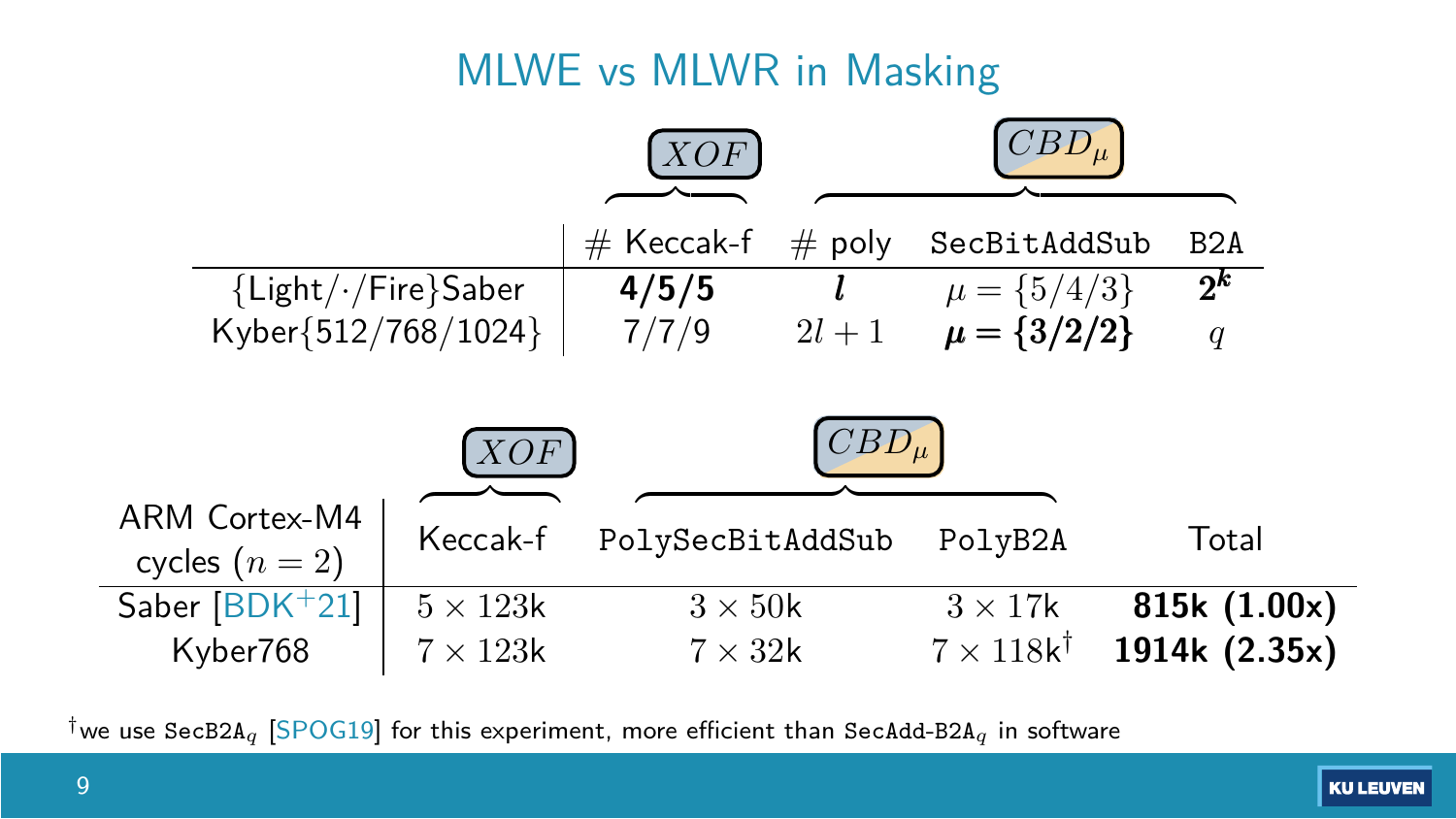### MLWE vs MLWR in Masking



<sup>†</sup>we use SecB2A<sub>q</sub> [\[SPOG19\]](#page-36-2) for this experiment, more efficient than SecAdd-B2A<sub>q</sub> in software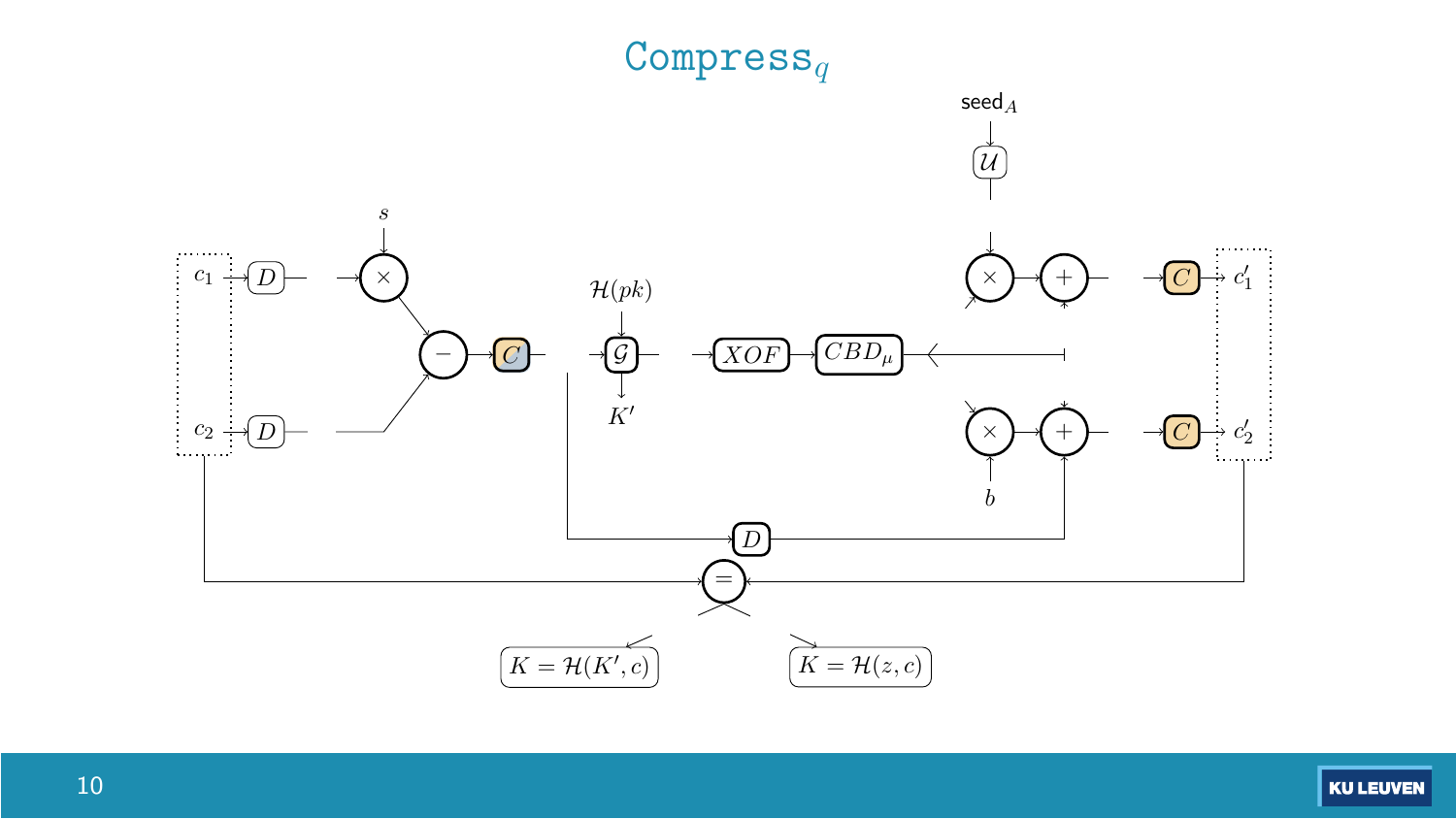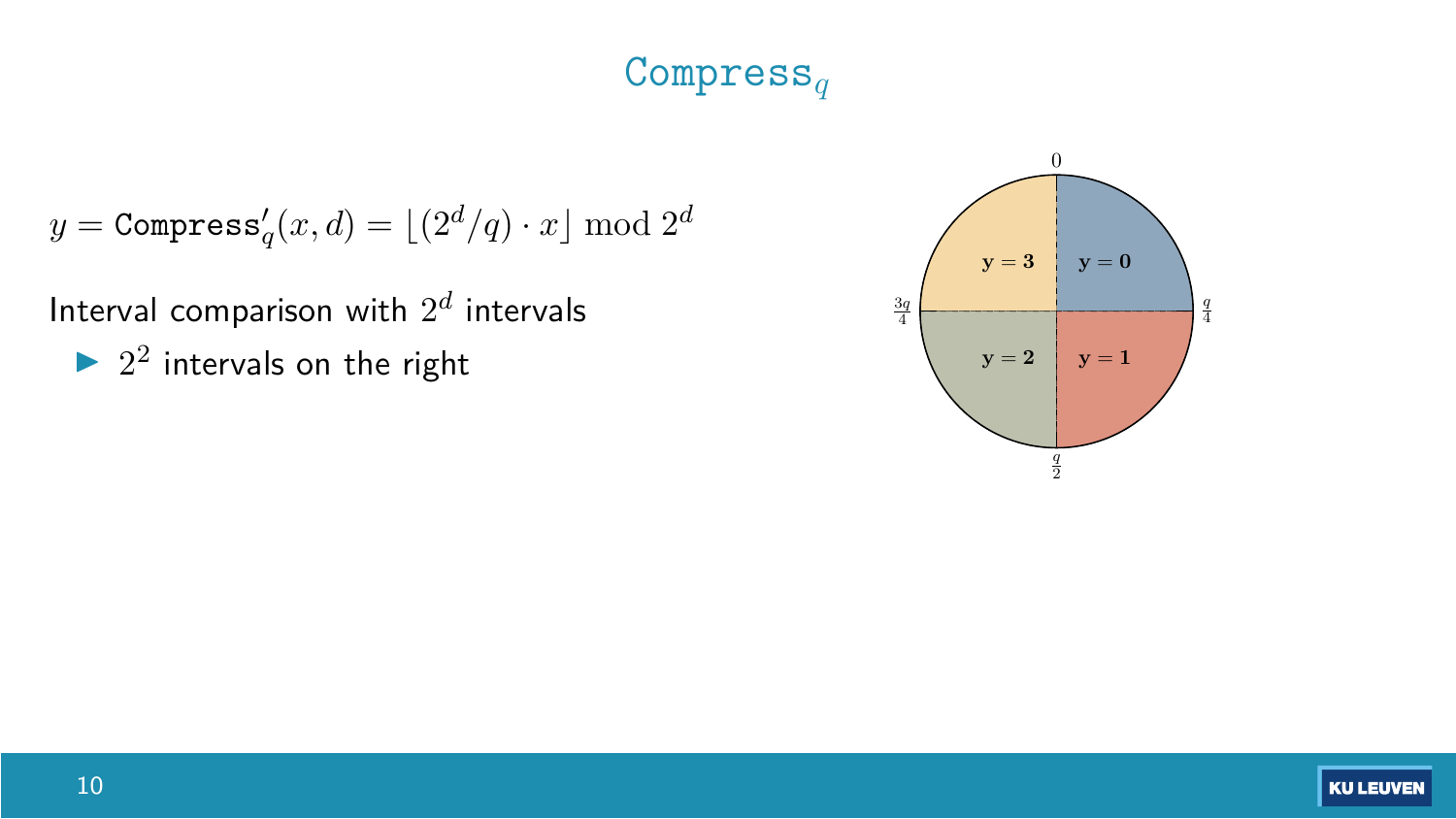### Compress*<sup>q</sup>*

$$
y = \texttt{Compress}_q'(x,d) = \lfloor (2^d/q) \cdot x \rfloor \bmod 2^d
$$

Interval comparison with  $2^d$  intervals  $\frac{3q}{4}$ 

 $\triangleright$  2<sup>2</sup> intervals on the right

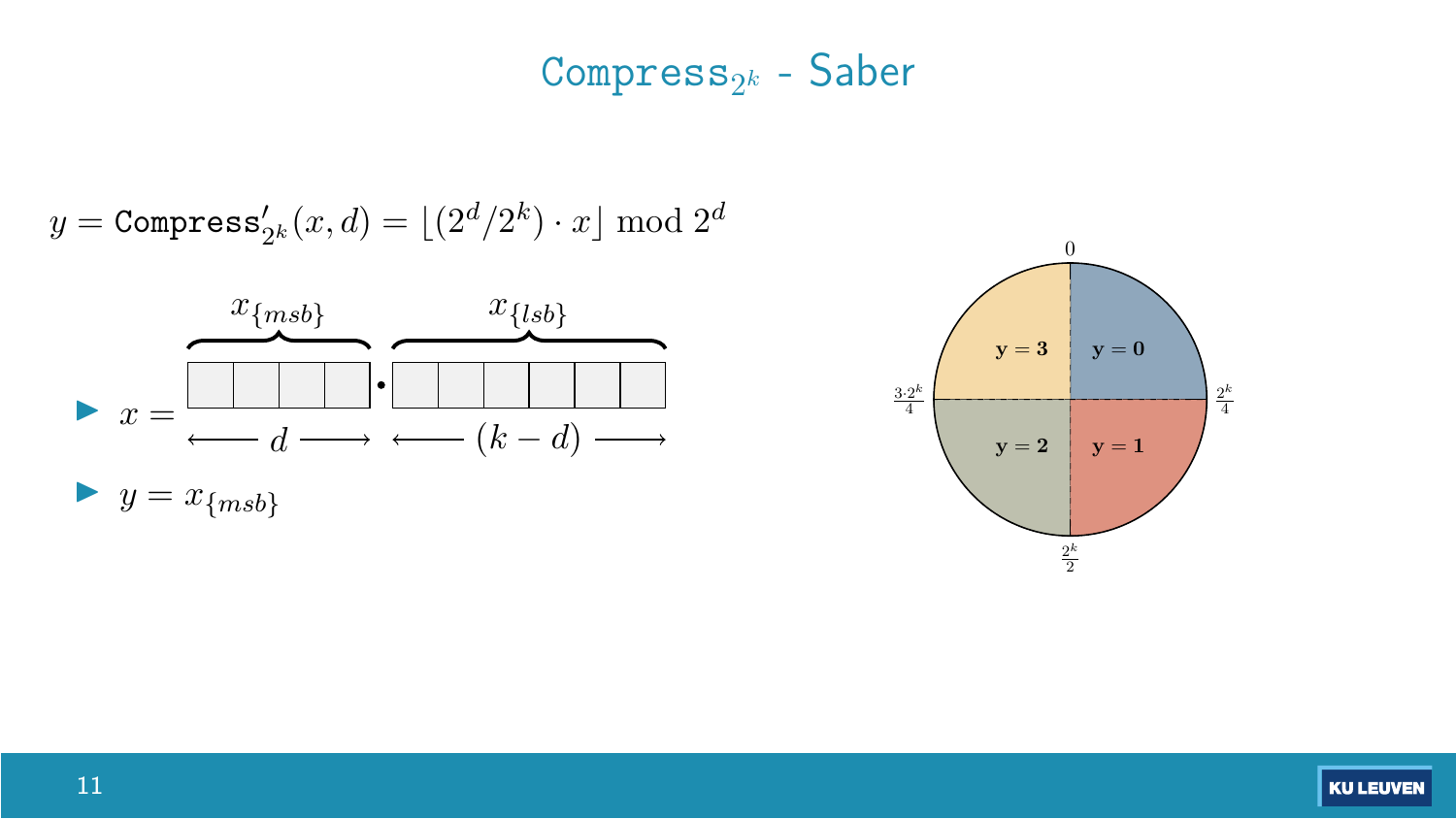### Compress2*<sup>k</sup>* - Saber

$$
y = \texttt{Compress}'_{2^k}(x,d) = \lfloor (2^d/2^k) \cdot x \rfloor \bmod 2^d
$$





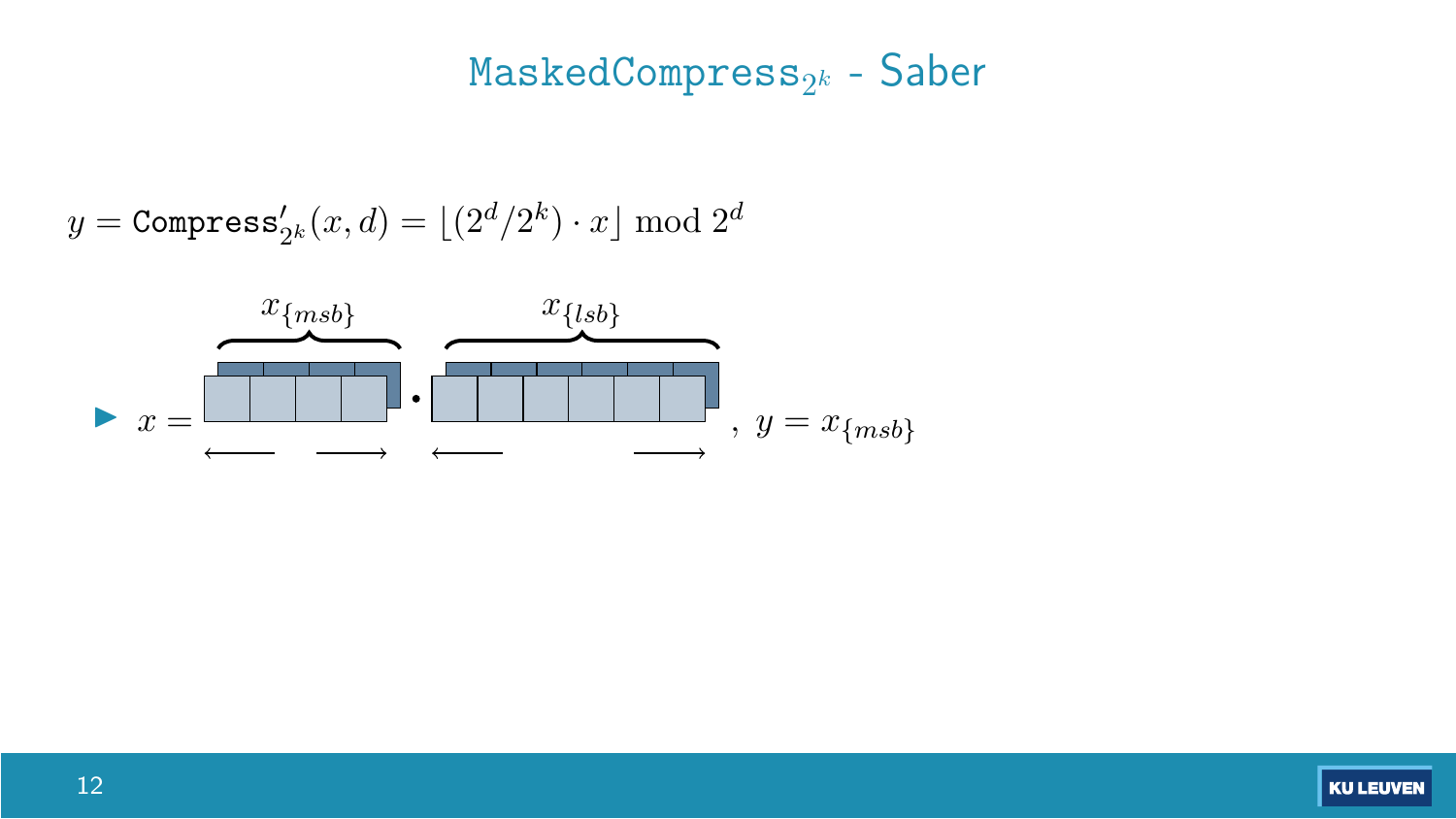#### MaskedCompress2*<sup>k</sup>* - Saber

$$
y = \texttt{Compress}_{2^k}^{\prime}(x,d) = \lfloor (2^d/2^k) \cdot x \rfloor \bmod 2^d
$$



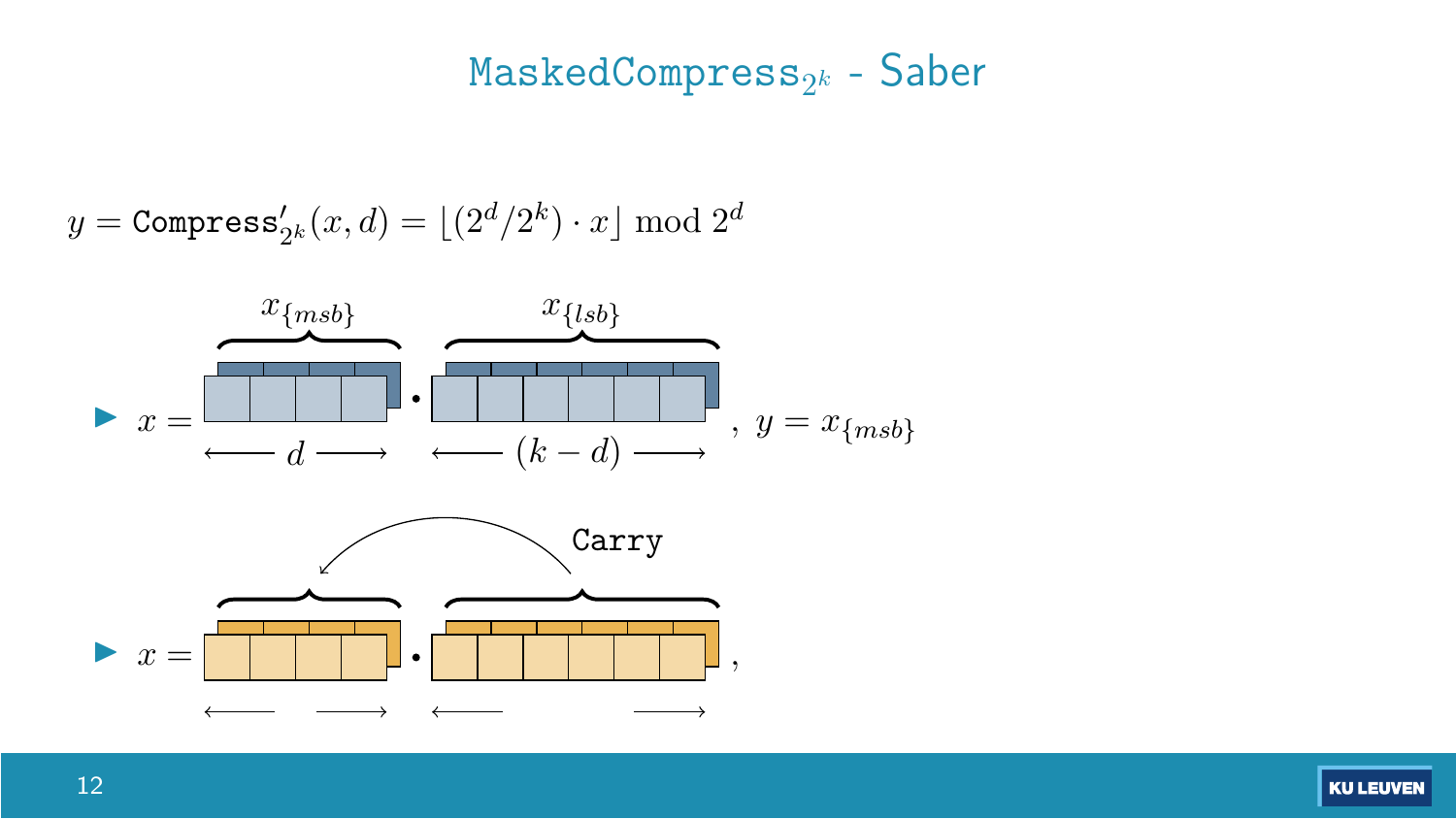#### MaskedCompress2*<sup>k</sup>* - Saber

$$
y = \texttt{Compress}_{2^k}^{\prime}(x,d) = \lfloor (2^d/2^k) \cdot x \rfloor \bmod 2^d
$$

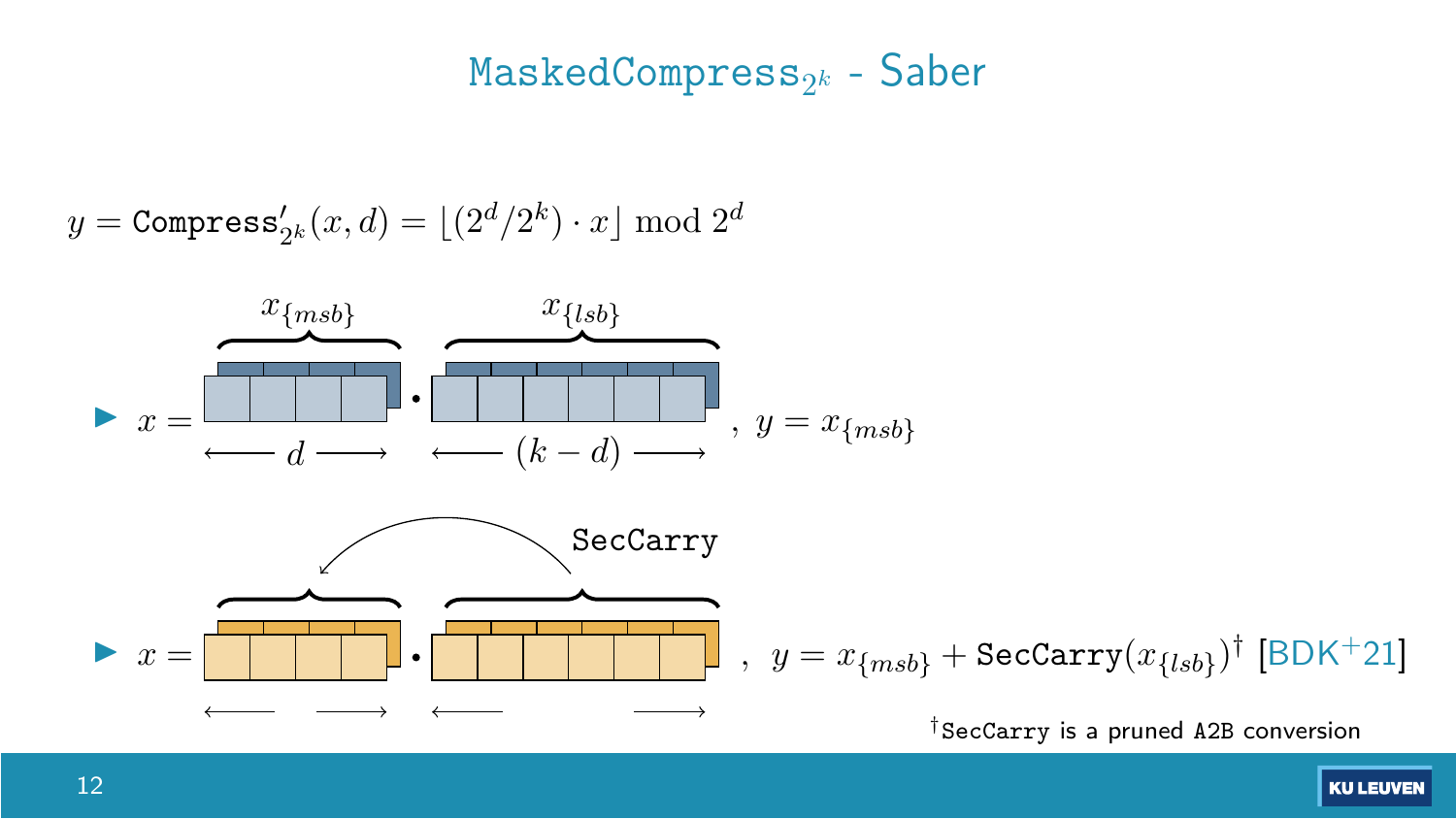#### MaskedCompress2*<sup>k</sup>* - Saber

$$
y = \texttt{Compress}_{2^k}^{\prime}(x,d) = \lfloor (2^d/2^k) \cdot x \rfloor \bmod 2^d
$$

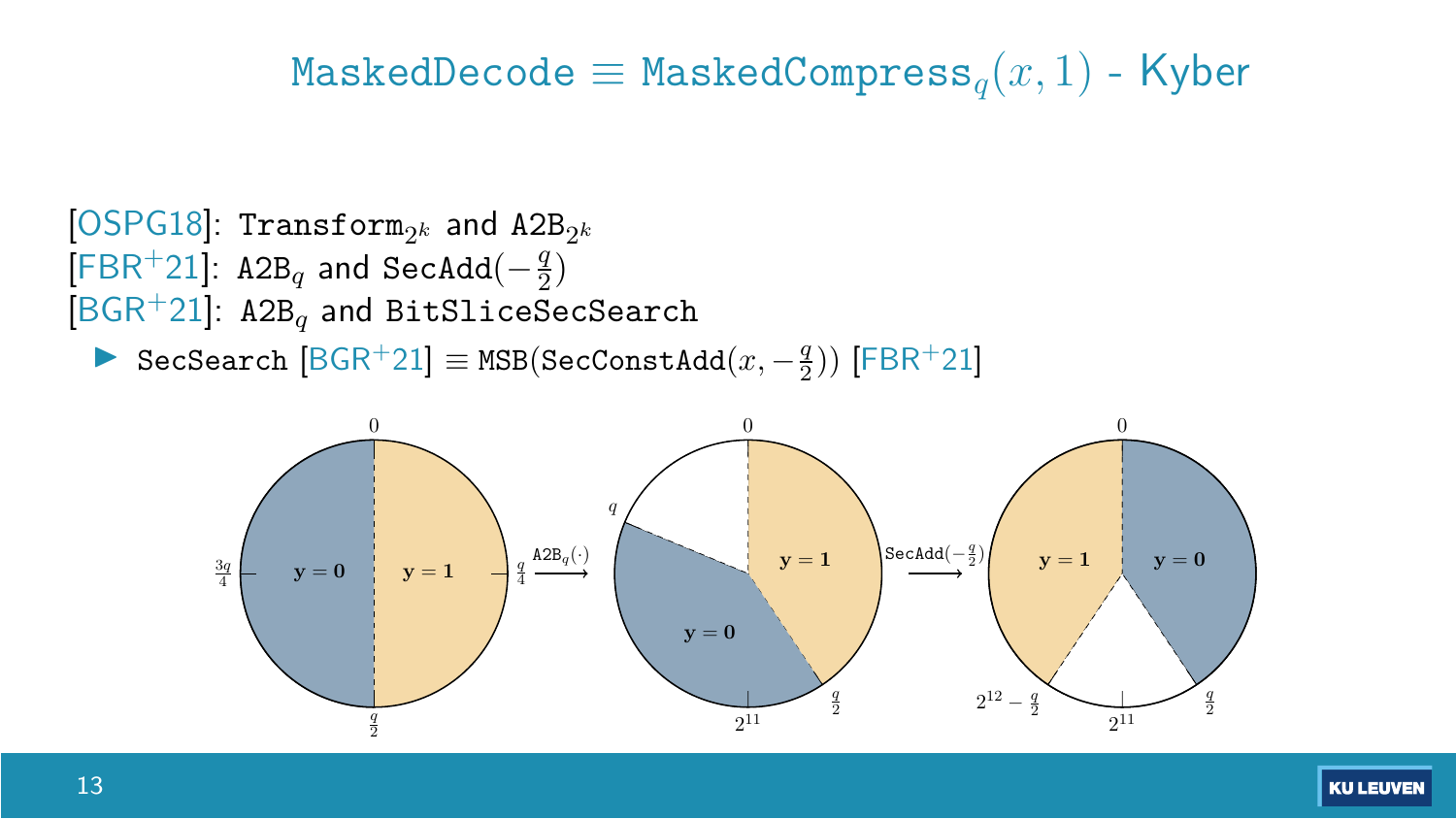#### $M$ askedDecode  $\equiv$  MaskedCompress<sub>*a*</sub>(*x*, 1) - Kyber



**I** SecSearch  $[**BGR**+21] ≡ **MSB**(**SecConstAdd**( $x, -\frac{q}{2}$ )) [**FBR**+21]$ 

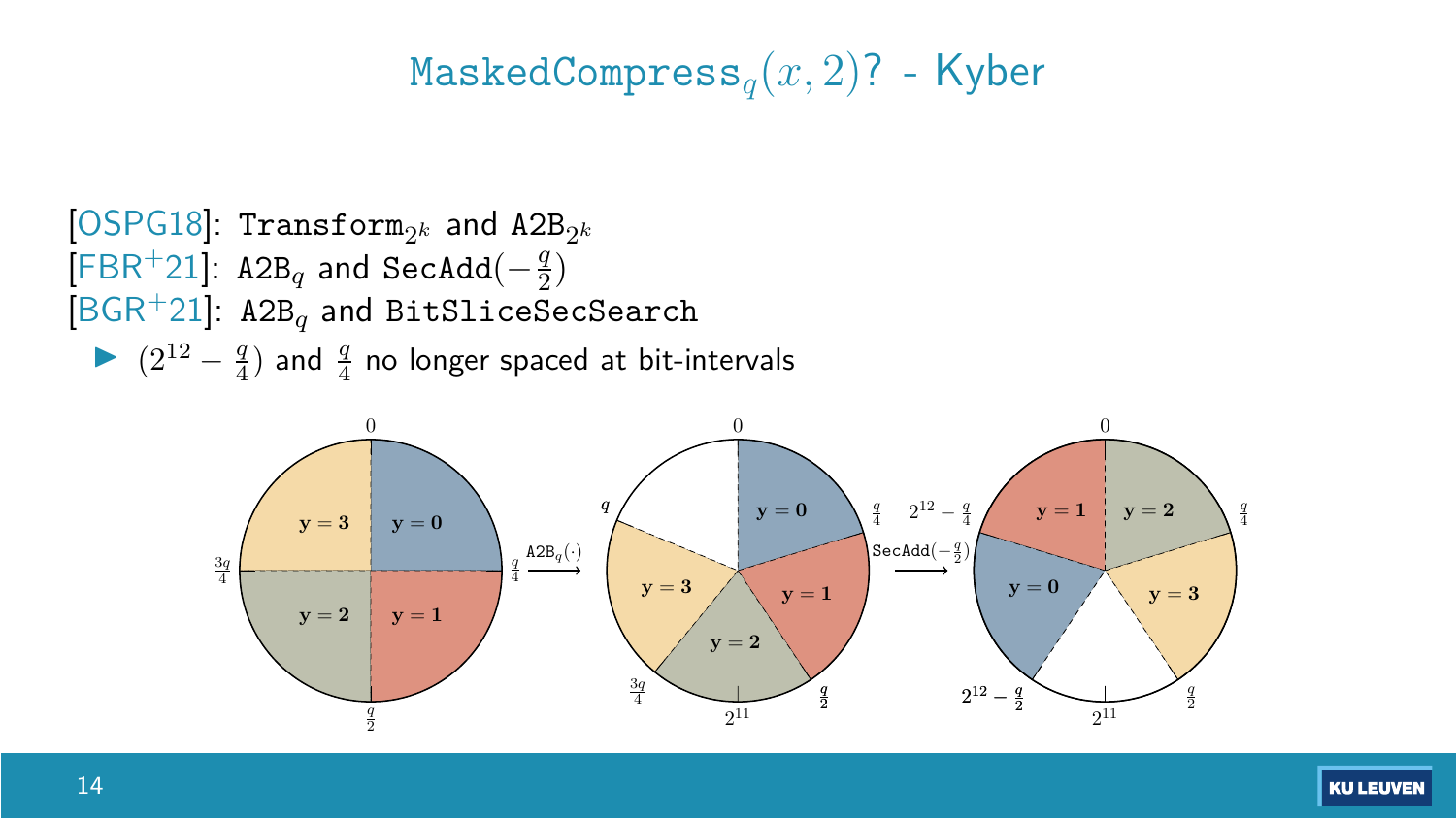#### MaskedCompress*q*(*x,* 2)? - Kyber



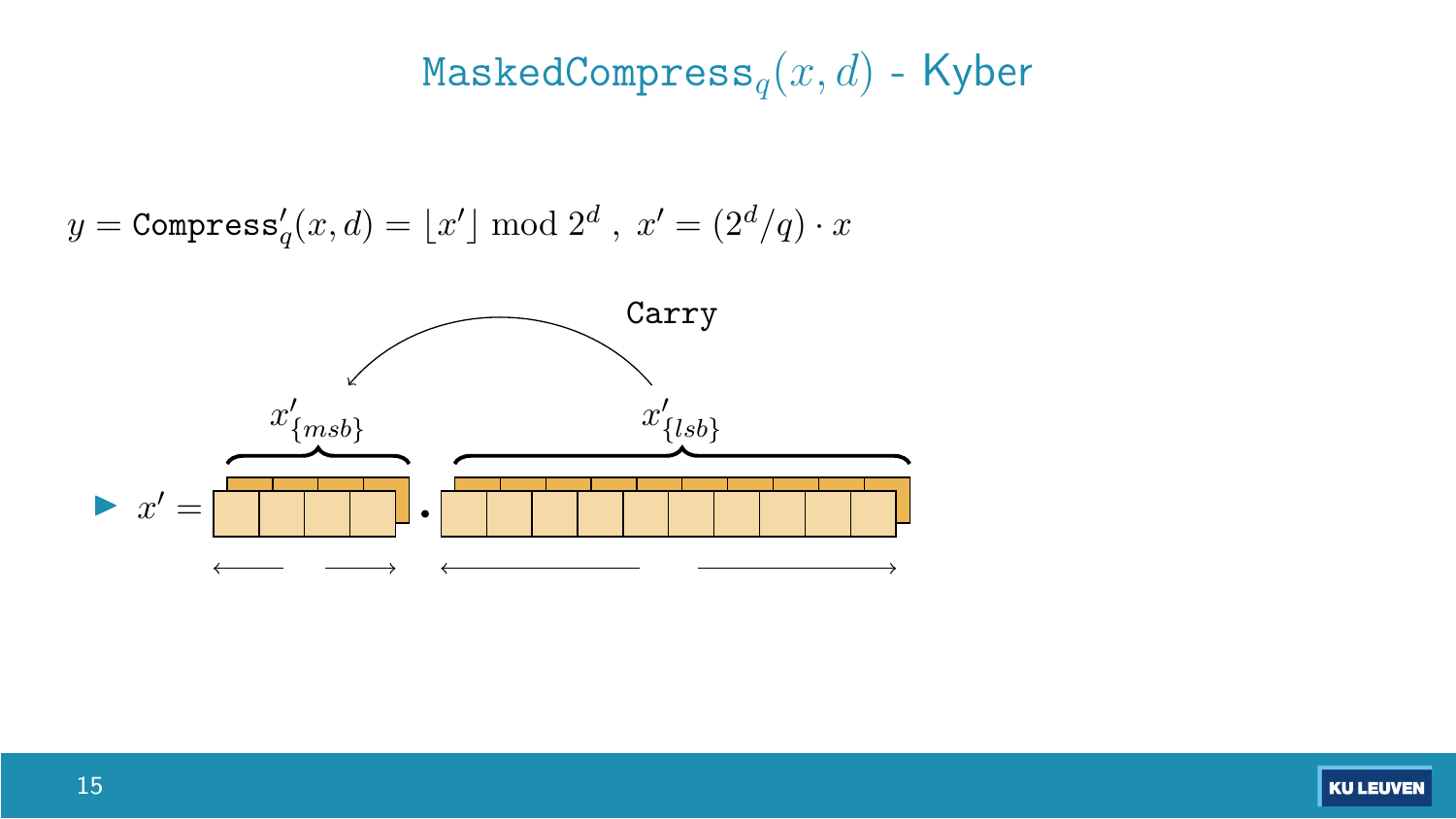# MaskedCompress*q*(*x, d*) - Kyber

$$
y = \texttt{Compress}_q'(x, d) = \lfloor x' \rfloor \bmod 2^d \text{ , } x' = (2^d/q) \cdot x
$$



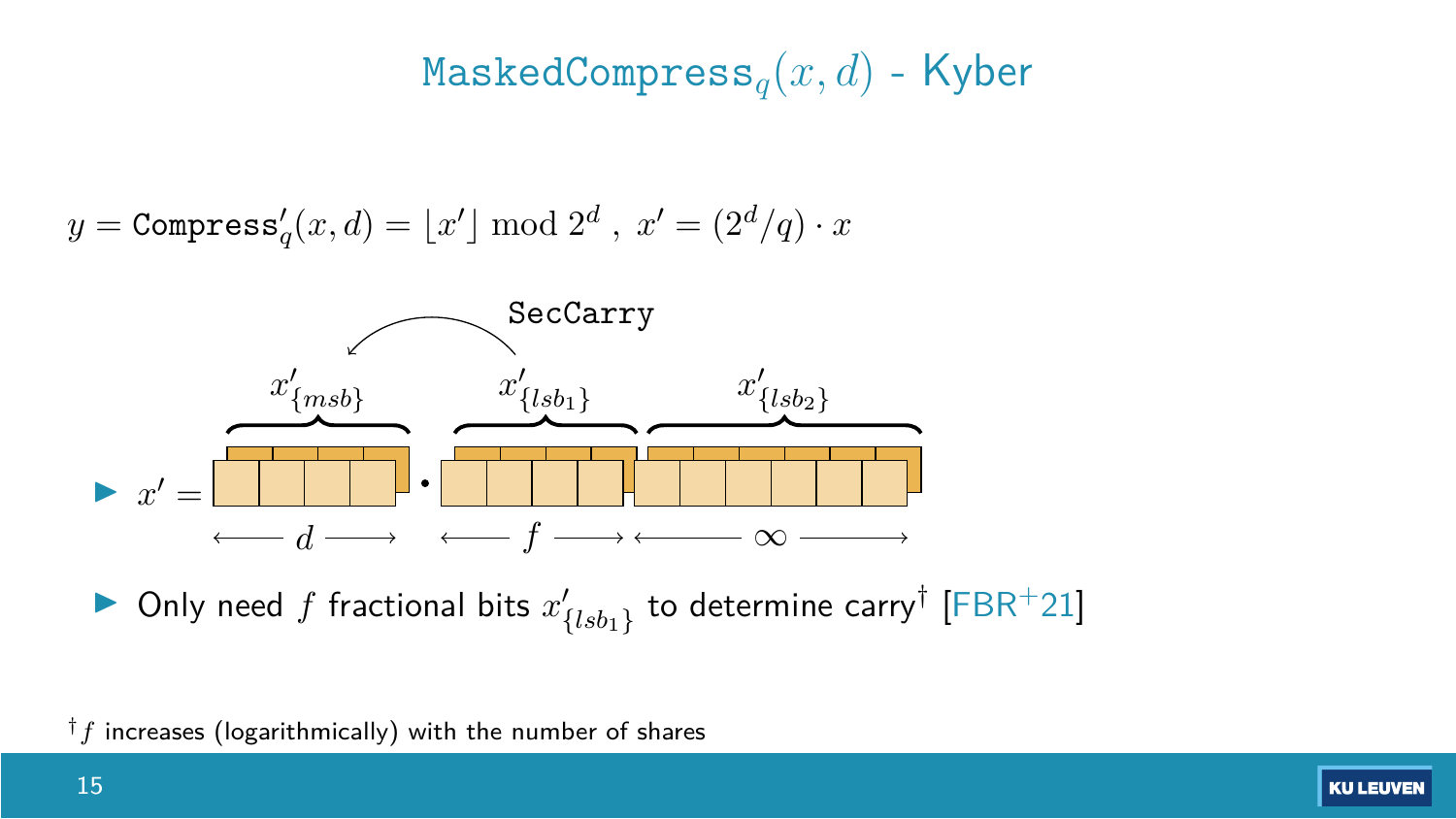### MaskedCompress*q*(*x, d*) - Kyber

$$
y = \texttt{Compress}_q'(x, d) = \lfloor x' \rfloor \bmod 2^d \text{ , } x' = (2^d/q) \cdot x
$$



**I** Only need f fractional bits  $x'_{\{lsb_1\}}$  to determine carry<sup>†</sup> [\[FBR](#page-36-0)<sup>+</sup>21]

†*f* increases (logarithmically) with the number of shares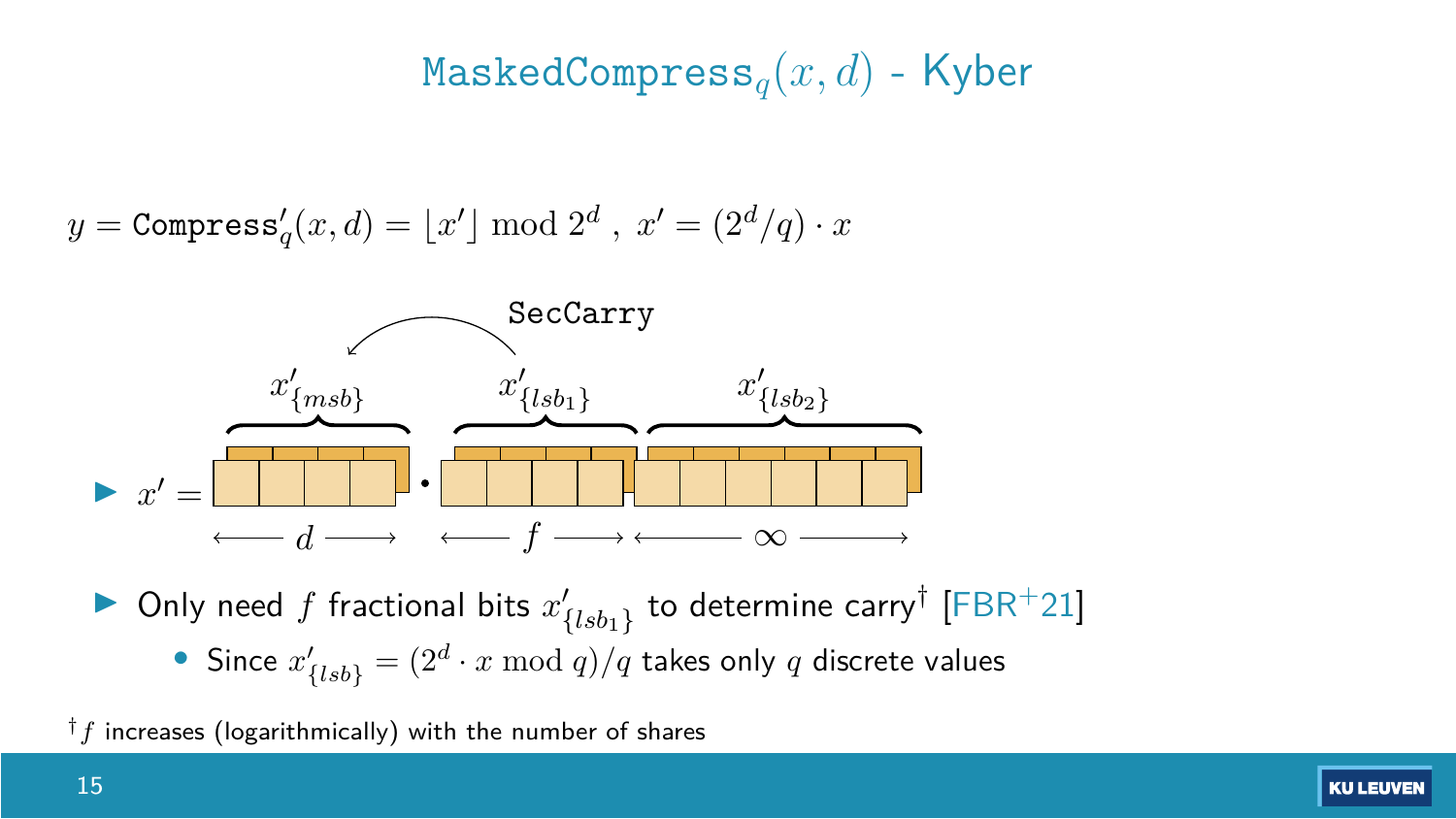### MaskedCompress*q*(*x, d*) - Kyber

$$
y = \texttt{Compress}_q'(x,d) = \lfloor x' \rfloor \bmod 2^d \ , \ x' = (2^d/q) \cdot x
$$



**If** Only need f fractional bits  $x'_{\{lsb_1\}}$  to determine carry<sup>†</sup> [\[FBR](#page-36-0)<sup>+</sup>21] • Since  $x'_{\{lsb\}} = (2^d \cdot x \bmod q)/q$  takes only *q* discrete values

†*f* increases (logarithmically) with the number of shares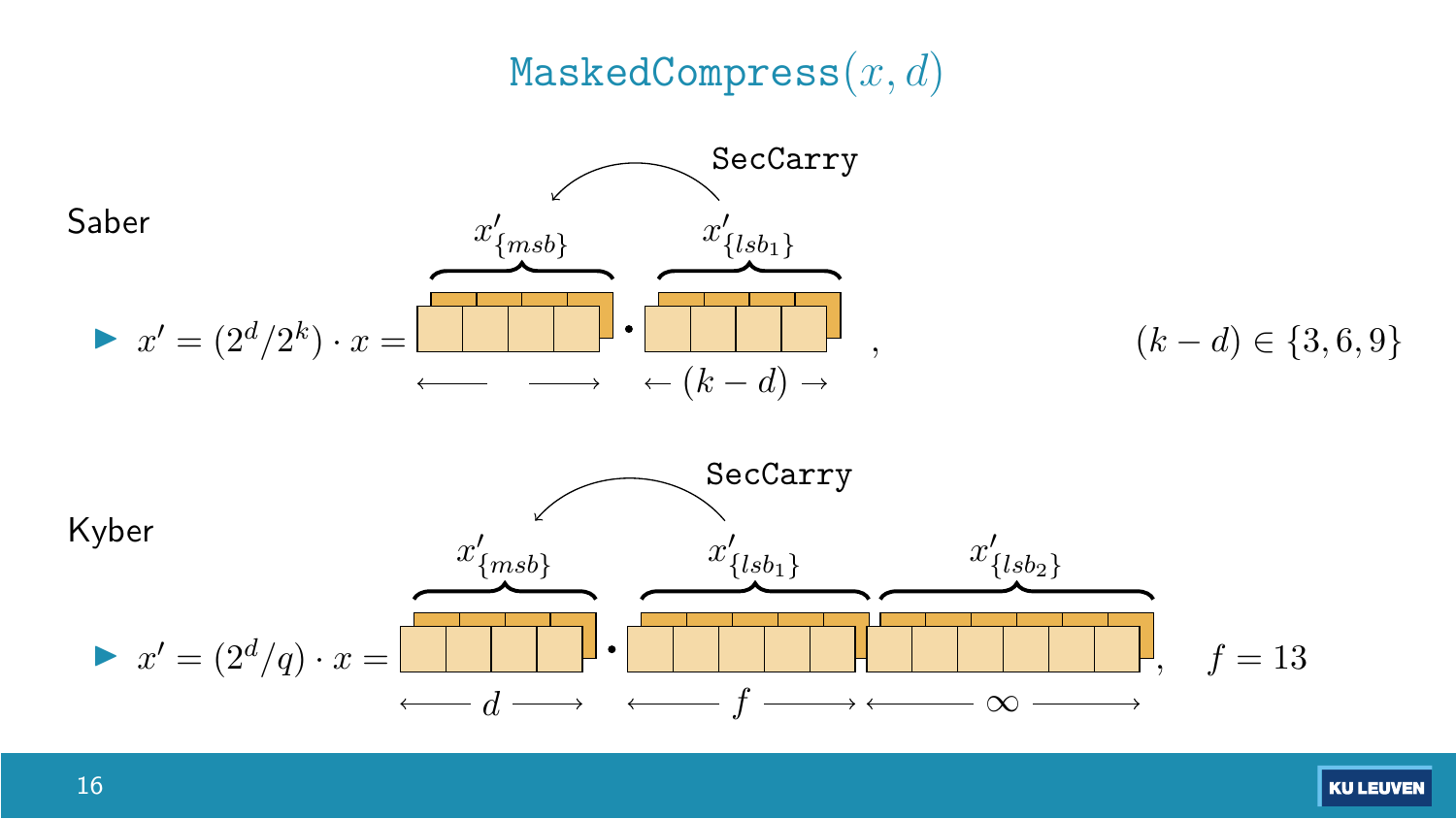### MaskedCompress(*x, d*)

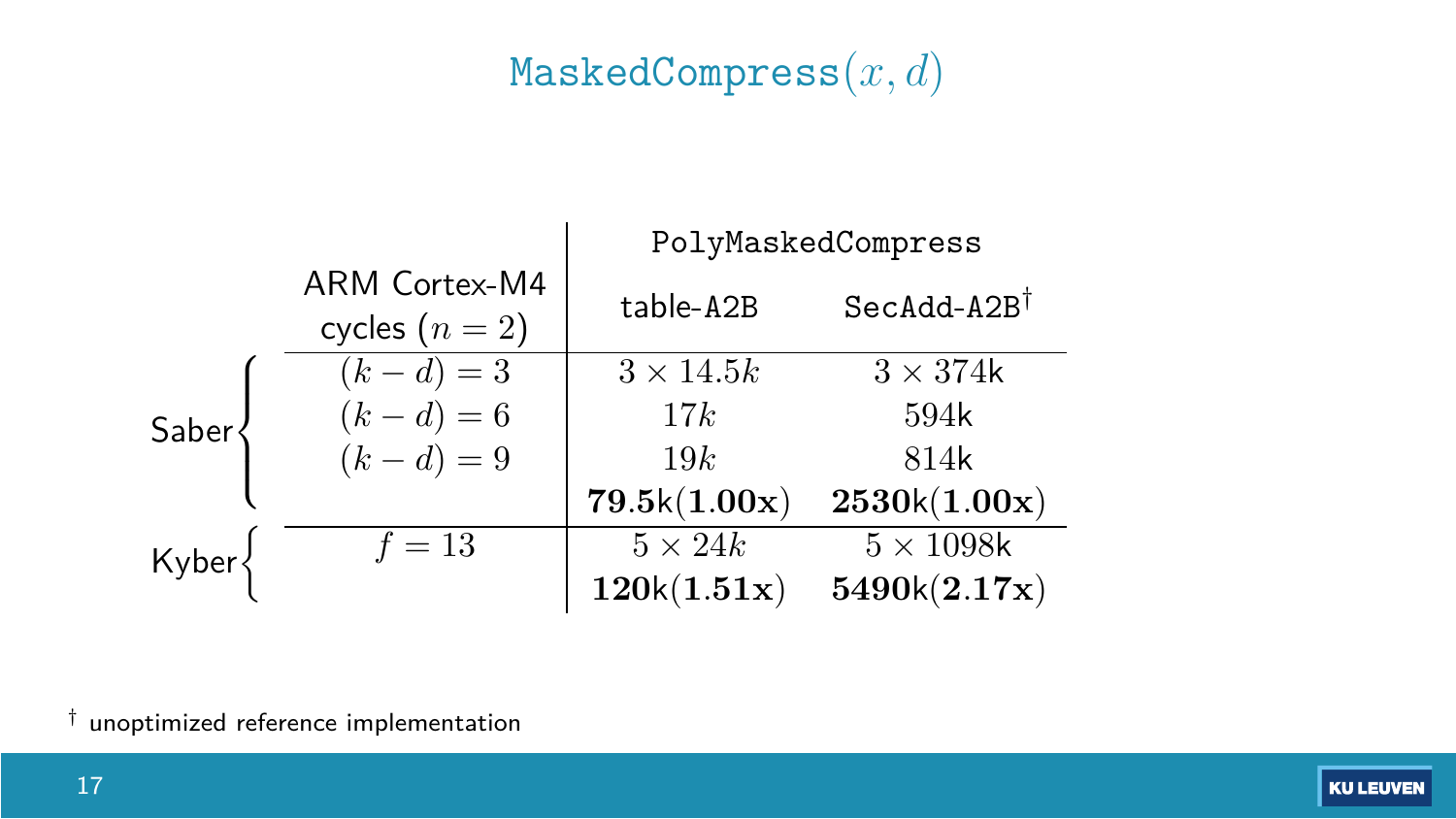### MaskedCompress(*x, d*)

|       |                                   | PolyMaskedCompress |                        |
|-------|-----------------------------------|--------------------|------------------------|
|       | ARM Cortex-M4<br>cycles $(n = 2)$ | table-A2B          | $SecAdd-A2B^{\dagger}$ |
|       | $(k - d) = 3$                     | $3 \times 14.5k$   | $3 \times 374$ k       |
| Saber | $(k - d) = 6$                     | 17k                | 594k                   |
|       | $(k - d) = 9$                     | 19k                | 814k                   |
|       |                                   | 79.5k(1.00x)       | 2530k(1.00x)           |
| Kyber | $f=13$                            | $5 \times 24k$     | $5 \times 1098$ k      |
|       |                                   | 120k(1.51x)        | 5490k(2.17x)           |

† unoptimized reference implementation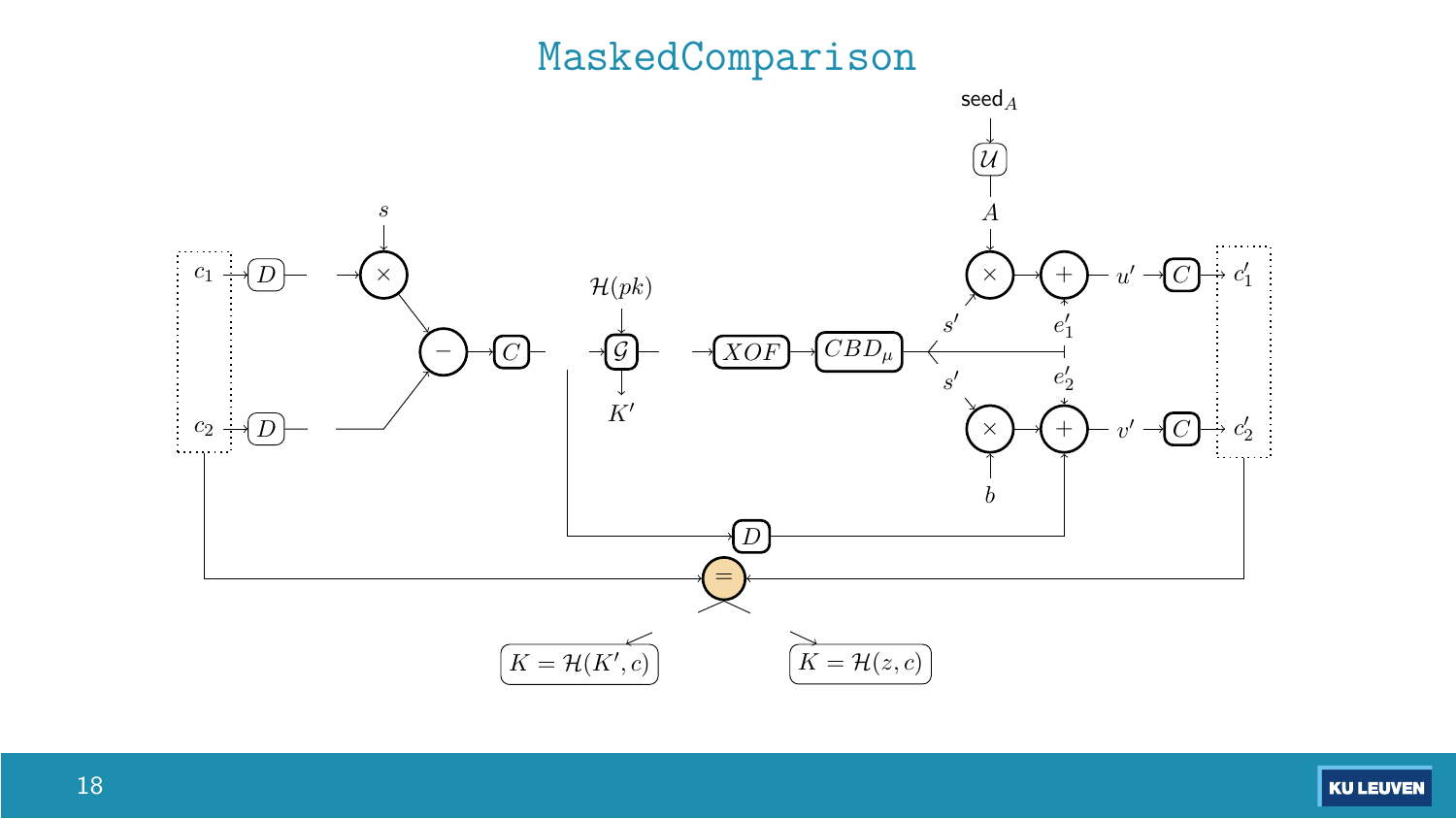#### MaskedComparison

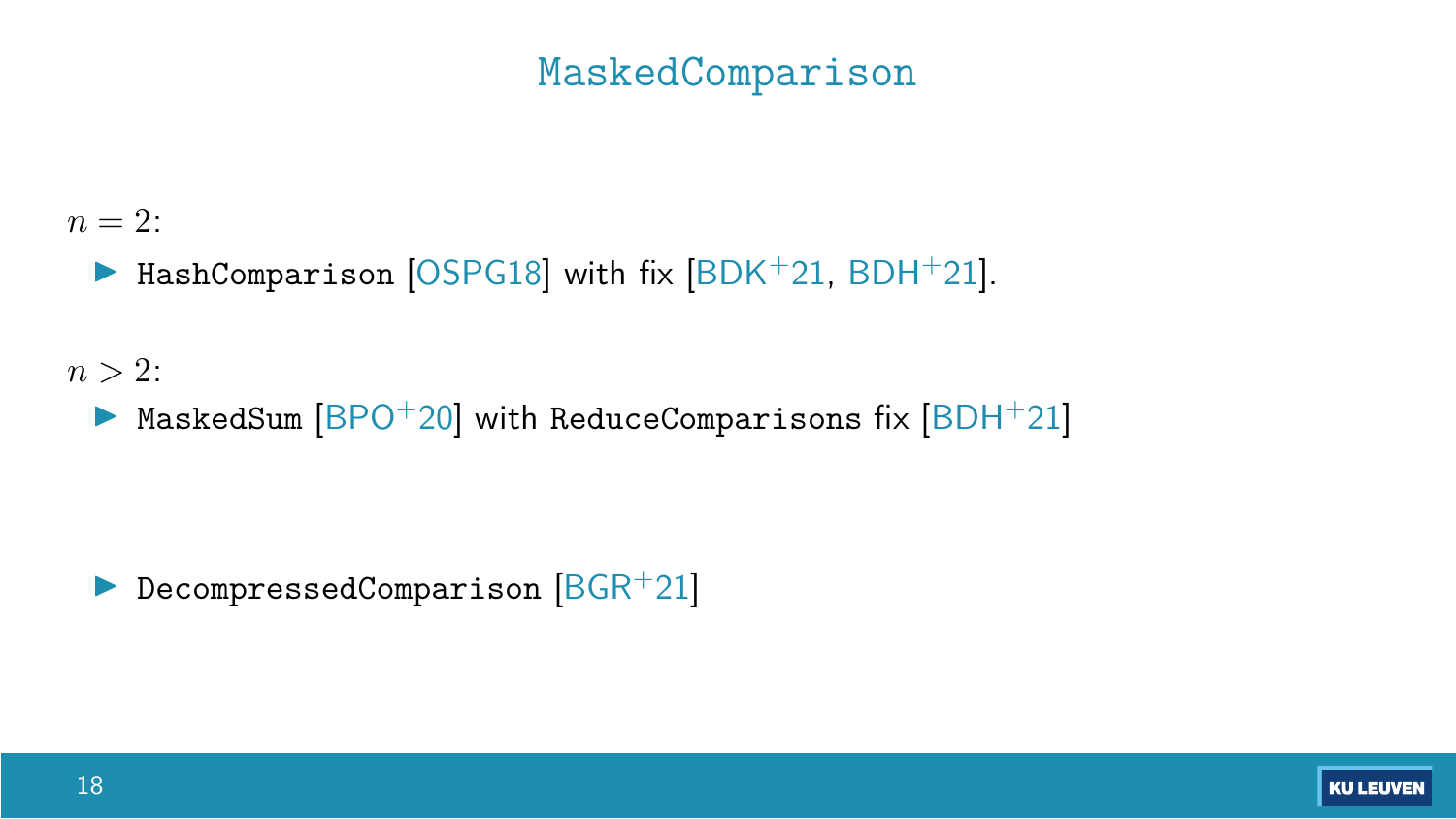#### MaskedComparison

 $n = 2$ :

 $\blacktriangleright$  HashComparison [\[OSPG18\]](#page-36-1) with fix [\[BDK](#page-34-0)+21, [BDH](#page-34-3)+21].

 $n > 2$ :

 $\triangleright$  MaskedSum  $[BPO+20]$  $[BPO+20]$  with ReduceComparisons fix  $[BDH+21]$  $[BDH+21]$ 

DecompressedComparison  $[BGR+21]$  $[BGR+21]$ 

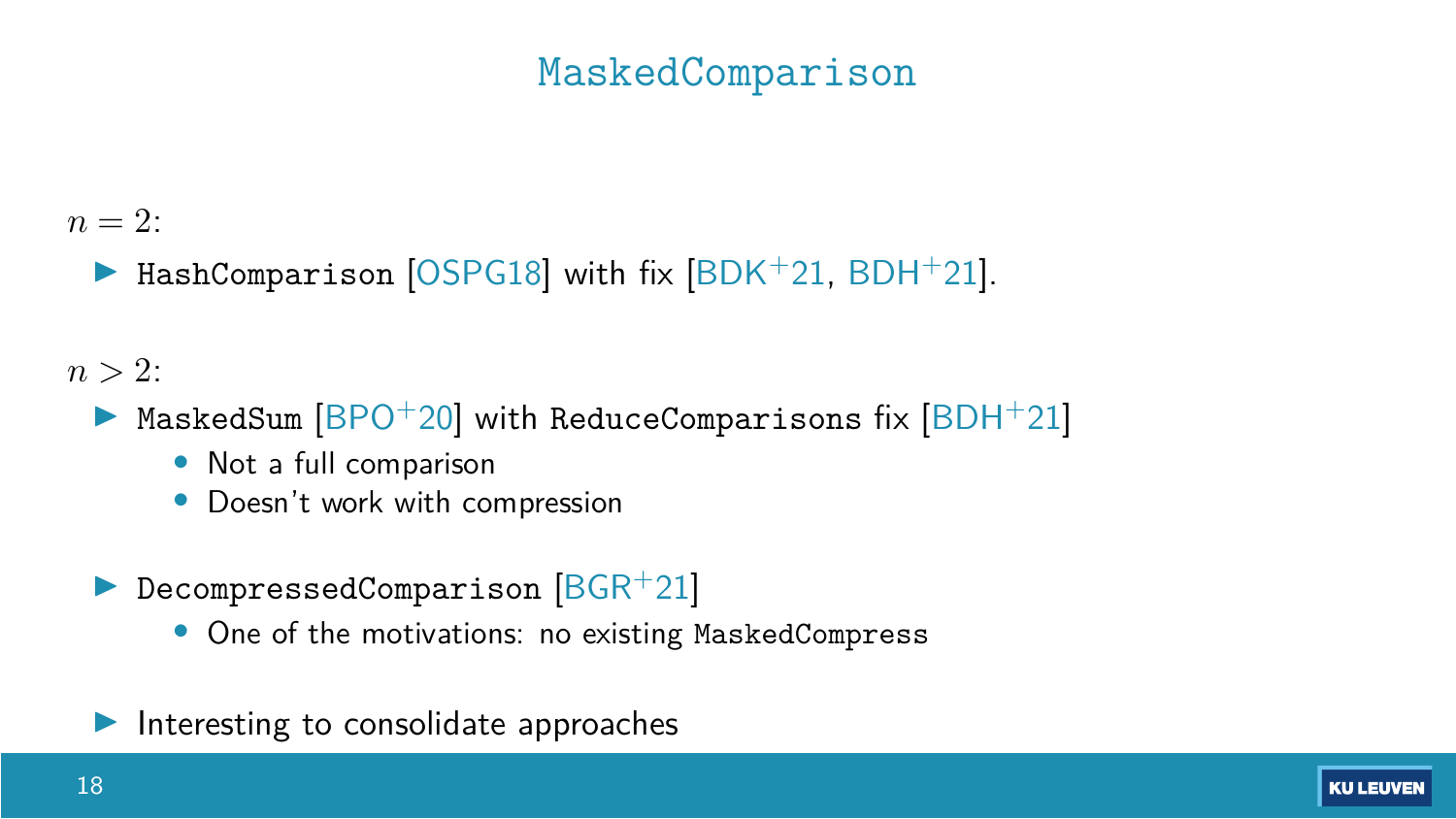### MaskedComparison

 $n = 2$ :

 $\triangleright$  HashComparison [\[OSPG18\]](#page-36-1) with fix  $|BDK^+21|$ , [BDH](#page-34-3)<sup>+</sup>21].

 $n > 2$ :

- MaskedSum  $[BPO+20]$  $[BPO+20]$  with ReduceComparisons fix  $[BDH+21]$  $[BDH+21]$ 
	- Not a full comparison
	- Doesn't work with compression
- DecompressedComparison  $[BGR+21]$  $[BGR+21]$ 
	- One of the motivations: no existing MaskedCompress
- Interesting to consolidate approaches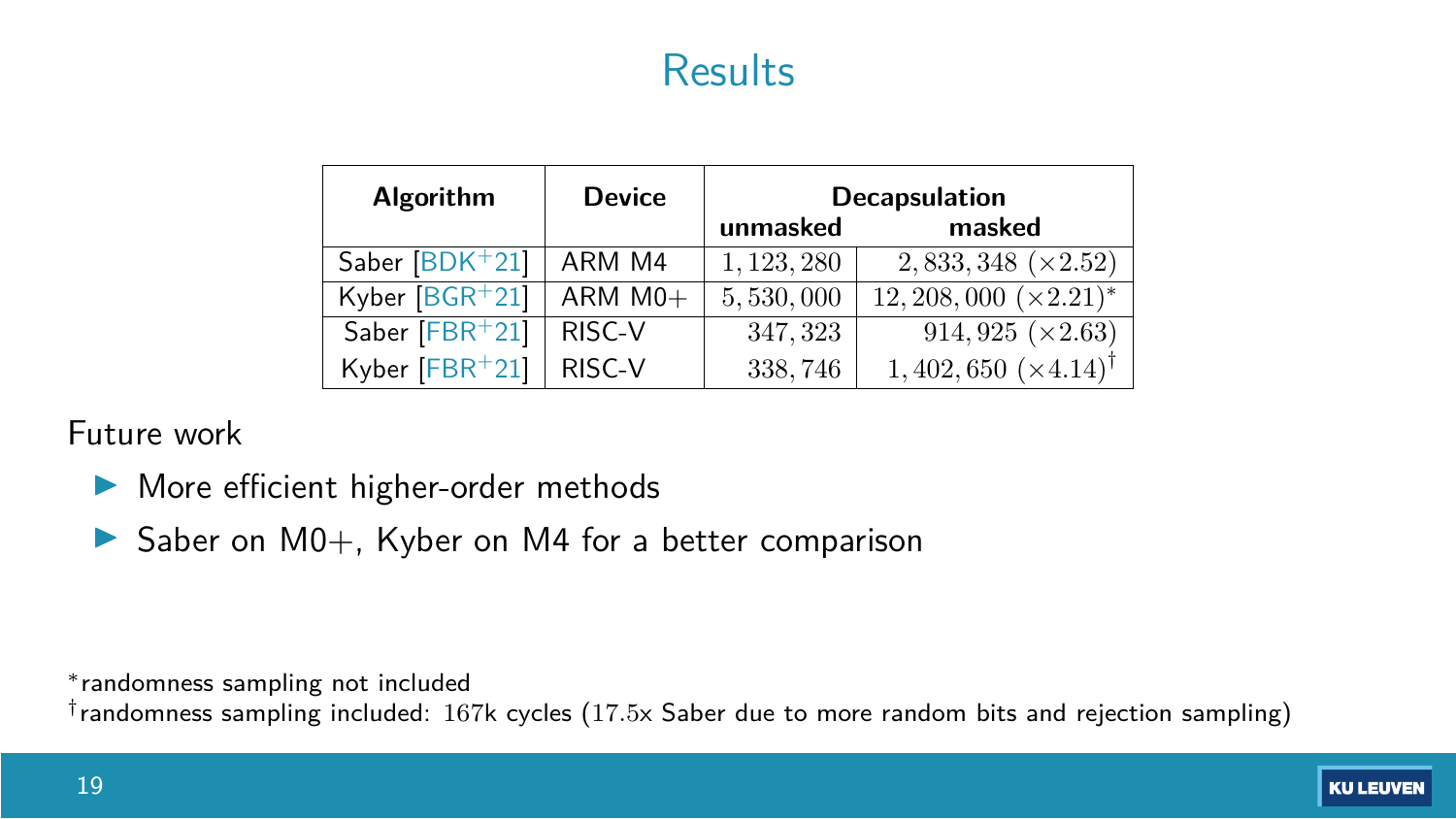### Results

| <b>Algorithm</b> | <b>Device</b>         | <b>Decapsulation</b><br>masked<br>unmasked |                                    |
|------------------|-----------------------|--------------------------------------------|------------------------------------|
| Saber $[BDK+21]$ | ARM M4                | 1, 123, 280                                | $2,833,348 \; (×2.52)$             |
| Kyber $[BGR+21]$ | $ARM$ M <sub>0+</sub> | 5,530,000                                  | $12,208,000 \; (\times 2.21)^*$    |
| Saber $[FBR+21]$ | RISC-V                | 347, 323                                   | $914,925 \; (\times 2.63)$         |
| Kyber [FBR+21]   | RISC-V                | 338,746                                    | $1,402,650~(\times4.14)^{\dagger}$ |

#### Future work

- $\blacktriangleright$  More efficient higher-order methods
- $\triangleright$  Saber on M0+, Kyber on M4 for a better comparison

randomness sampling not included

†randomness sampling included: 167k cycles (17*.*5x Saber due to more random bits and rejection sampling)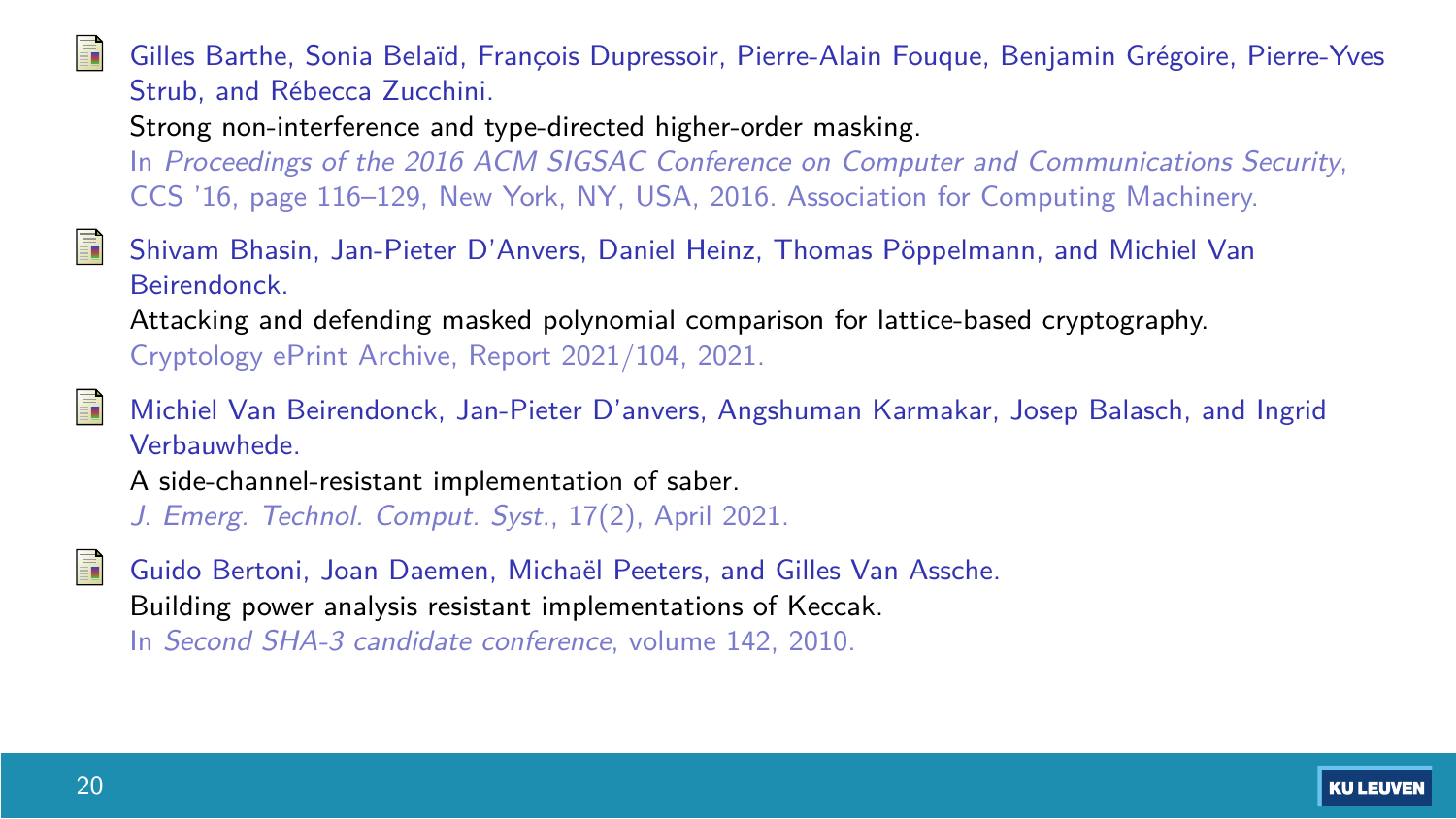<span id="page-34-2"></span>Gilles Barthe, Sonia Belaïd, Francois Dupressoir, Pierre-Alain Fougue, Benjamin Grégoire, Pierre-Yves Strub, and Rébecca Zucchini.

Strong non-interference and type-directed higher-order masking.

In Proceedings of the 2016 ACM SIGSAC Conference on Computer and Communications Security, CCS '16, page 116–129, New York, NY, USA, 2016. Association for Computing Machinery.

<span id="page-34-3"></span>F. Shivam Bhasin, Jan-Pieter D'Anvers, Daniel Heinz, Thomas Pöppelmann, and Michiel Van Beirendonck. Attacking and defending masked polynomial comparison for lattice-based cryptography. Cryptology ePrint Archive, Report 2021/104, 2021.

<span id="page-34-0"></span>Michiel Van Beirendonck, Jan-Pieter D'anvers, Angshuman Karmakar, Josep Balasch, and Ingrid Verbauwhede.

A side-channel-resistant implementation of saber.

J. Emerg. Technol. Comput. Syst., 17(2), April 2021.

<span id="page-34-1"></span>

Guido Bertoni, Joan Daemen, Michaël Peeters, and Gilles Van Assche. Building power analysis resistant implementations of Keccak.

In Second SHA-3 candidate conference, volume 142, 2010.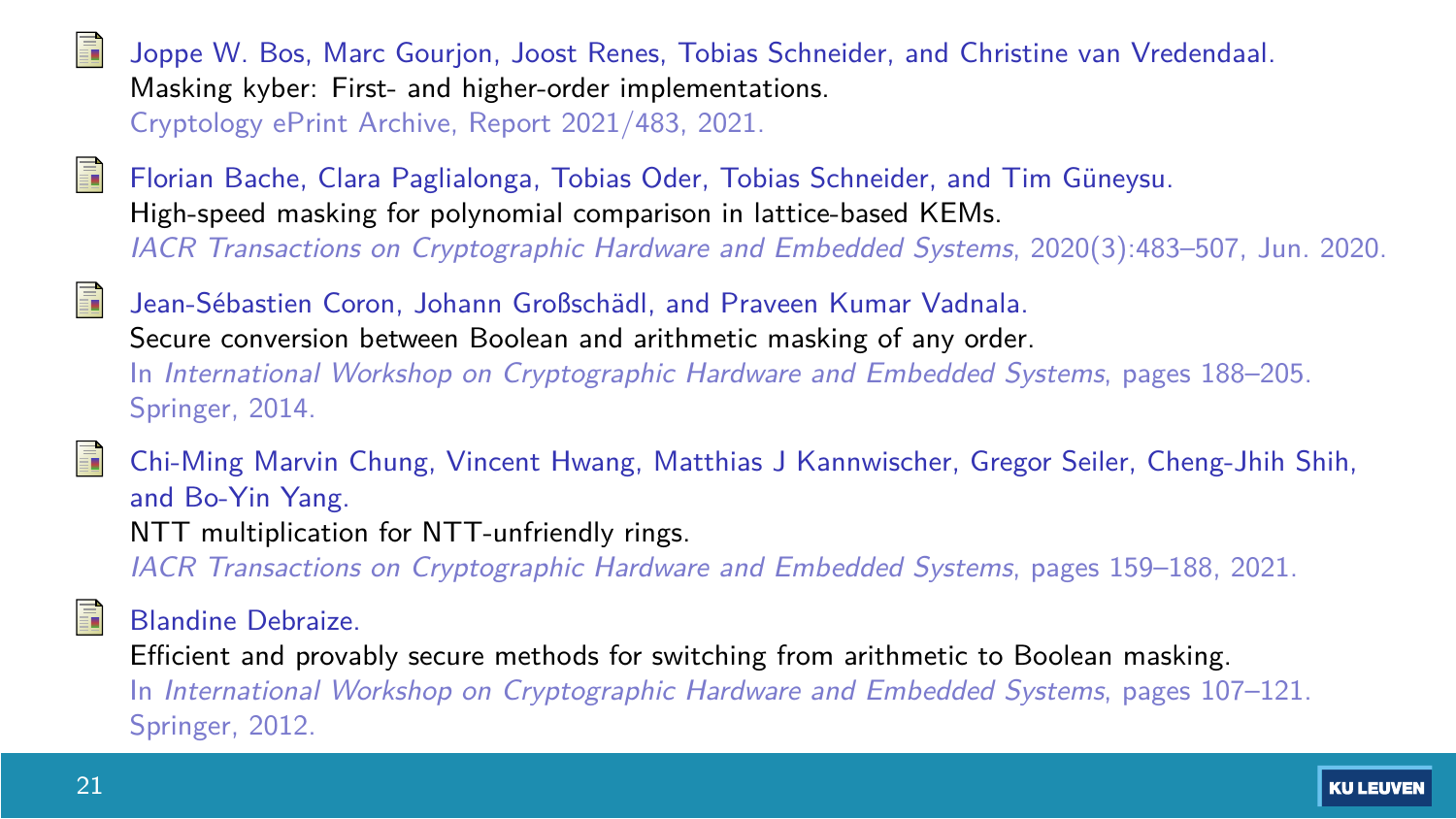<span id="page-35-0"></span>

Joppe W. Bos, Marc Gourjon, Joost Renes, Tobias Schneider, and Christine van Vredendaal. Masking kyber: First- and higher-order implementations. Cryptology ePrint Archive, Report 2021/483, 2021.

- <span id="page-35-4"></span>F
- Florian Bache, Clara Paglialonga, Tobias Oder, Tobias Schneider, and Tim Guneysu. ¨ High-speed masking for polynomial comparison in lattice-based KEMs. IACR Transactions on Cryptographic Hardware and Embedded Systems, 2020(3):483–507, Jun. 2020.
- <span id="page-35-2"></span>F

Jean-Sébastien Coron, Johann Großschädl, and Praveen Kumar Vadnala. Secure conversion between Boolean and arithmetic masking of any order. In International Workshop on Cryptographic Hardware and Embedded Systems, pages 188–205. Springer, 2014.

<span id="page-35-3"></span>Chi-Ming Marvin Chung, Vincent Hwang, Matthias J Kannwischer, Gregor Seiler, Cheng-Jhih Shih, and Bo-Yin Yang. NTT multiplication for NTT-unfriendly rings.

IACR Transactions on Cryptographic Hardware and Embedded Systems, pages 159–188, 2021.

#### Blandine Debraize.

Efficient and provably secure methods for switching from arithmetic to Boolean masking. In International Workshop on Cryptographic Hardware and Embedded Systems, pages 107–121. Springer, 2012.

<span id="page-35-1"></span>F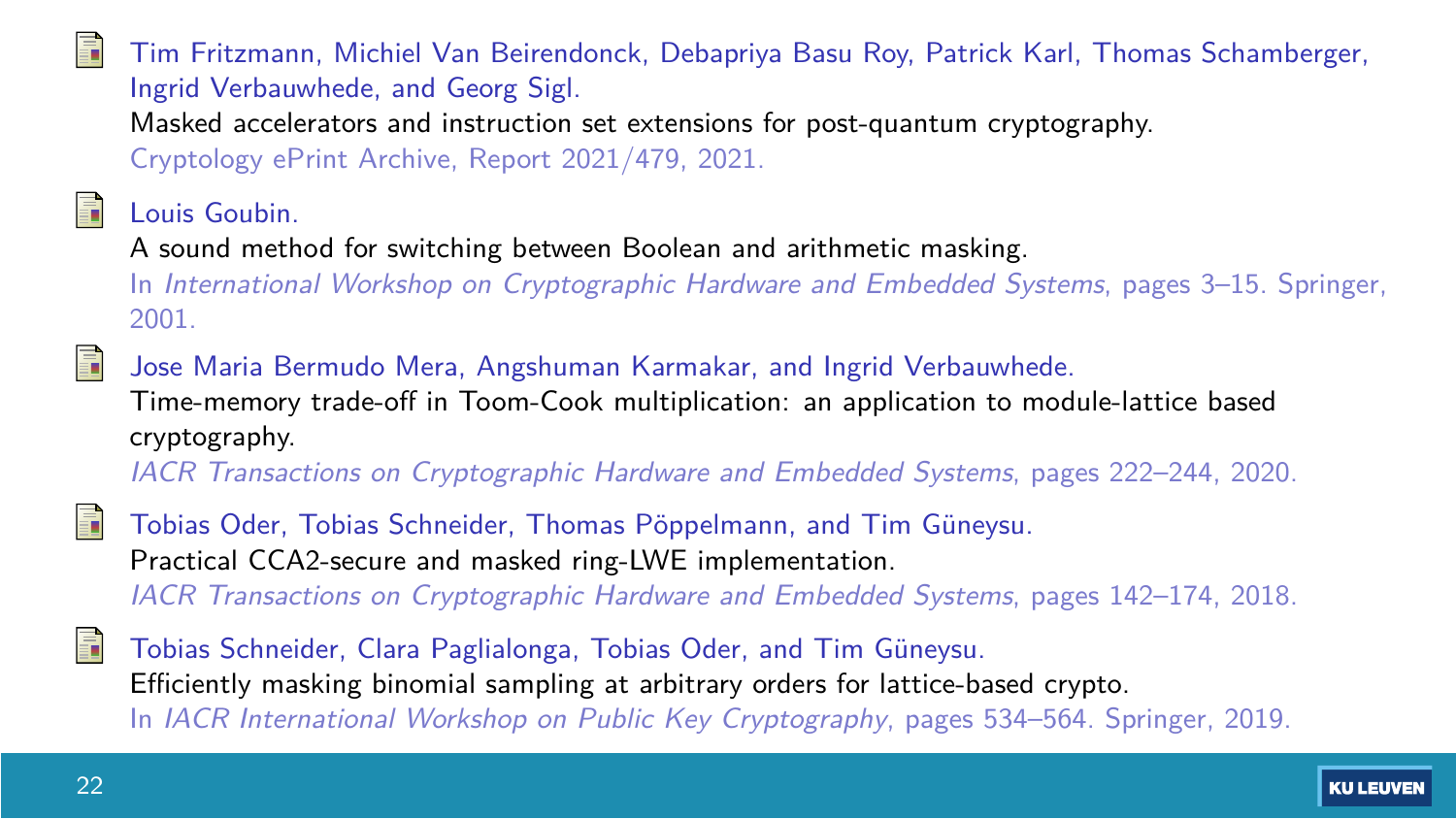<span id="page-36-0"></span>

#### Tim Fritzmann, Michiel Van Beirendonck, Debapriya Basu Roy, Patrick Karl, Thomas Schamberger, Ingrid Verbauwhede, and Georg Sigl. Masked accelerators and instruction set extensions for post-quantum cryptography.

Cryptology ePrint Archive, Report 2021/479, 2021.

<span id="page-36-3"></span>Louis Goubin.

A sound method for switching between Boolean and arithmetic masking.

In International Workshop on Cryptographic Hardware and Embedded Systems, pages 3–15. Springer, 2001.

<span id="page-36-4"></span>螶 Jose Maria Bermudo Mera, Angshuman Karmakar, and Ingrid Verbauwhede. Time-memory trade-off in Toom-Cook multiplication: an application to module-lattice based cryptography.

IACR Transactions on Cryptographic Hardware and Embedded Systems, pages 222–244, 2020.

- <span id="page-36-1"></span>Tobias Oder, Tobias Schneider, Thomas Pöppelmann, and Tim Güneysu. Practical CCA2-secure and masked ring-LWE implementation. IACR Transactions on Cryptographic Hardware and Embedded Systems, pages 142–174, 2018.
- <span id="page-36-2"></span>F Tobias Schneider, Clara Paglialonga, Tobias Oder, and Tim Güneysu. Efficiently masking binomial sampling at arbitrary orders for lattice-based crypto. In IACR International Workshop on Public Key Cryptography, pages 534–564. Springer, 2019.